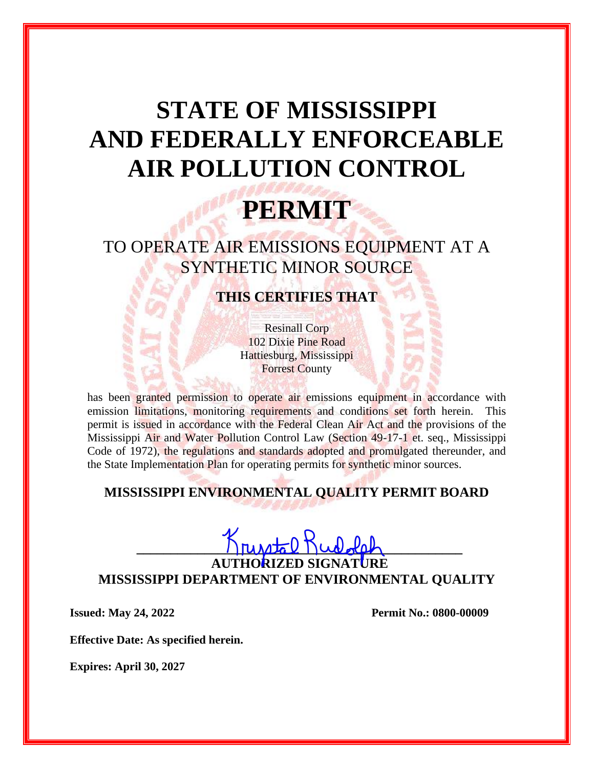## **STATE OF MISSISSIPPI AND FEDERALLY ENFORCEABLE AIR POLLUTION CONTROL**

## **PERMIT**

TO OPERATE AIR EMISSIONS EQUIPMENT AT A SYNTHETIC MINOR SOURCE

**THIS CERTIFIES THAT**

Resinall Corp 102 Dixie Pine Road Hattiesburg, Mississippi Forrest County

has been granted permission to operate air emissions equipment in accordance with emission limitations, monitoring requirements and conditions set forth herein. This permit is issued in accordance with the Federal Clean Air Act and the provisions of the Mississippi Air and Water Pollution Control Law (Section 49-17-1 et. seq., Mississippi Code of 1972), the regulations and standards adopted and promulgated thereunder, and the State Implementation Plan for operating permits for synthetic minor sources.

## **MISSISSIPPI ENVIRONMENTAL QUALITY PERMIT BOARD**

# $K_{\text{nu},\text{total}}$  Rudolal

**AUTHORIZED SIGNATURE MISSISSIPPI DEPARTMENT OF ENVIRONMENTAL QUALITY**

**Issued: May 24, 2022 Permit No.: 0800-00009**

**Effective Date: As specified herein.**

**Expires: April 30, 2027**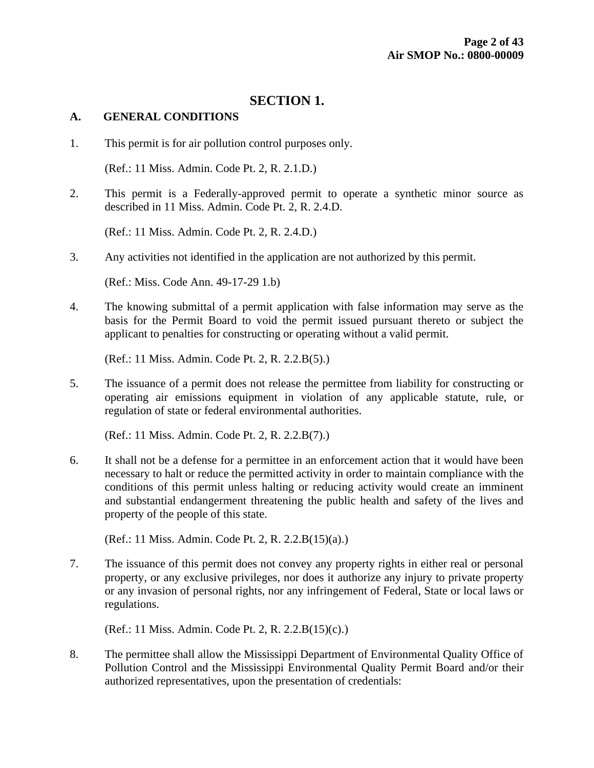#### **SECTION 1.**

#### **A. GENERAL CONDITIONS**

1. This permit is for air pollution control purposes only.

(Ref.: 11 Miss. Admin. Code Pt. 2, R. 2.1.D.)

2. This permit is a Federally-approved permit to operate a synthetic minor source as described in 11 Miss. Admin. Code Pt. 2, R. 2.4.D.

(Ref.: 11 Miss. Admin. Code Pt. 2, R. 2.4.D.)

3. Any activities not identified in the application are not authorized by this permit.

(Ref.: Miss. Code Ann. 49-17-29 1.b)

4. The knowing submittal of a permit application with false information may serve as the basis for the Permit Board to void the permit issued pursuant thereto or subject the applicant to penalties for constructing or operating without a valid permit.

(Ref.: 11 Miss. Admin. Code Pt. 2, R. 2.2.B(5).)

5. The issuance of a permit does not release the permittee from liability for constructing or operating air emissions equipment in violation of any applicable statute, rule, or regulation of state or federal environmental authorities.

(Ref.: 11 Miss. Admin. Code Pt. 2, R. 2.2.B(7).)

6. It shall not be a defense for a permittee in an enforcement action that it would have been necessary to halt or reduce the permitted activity in order to maintain compliance with the conditions of this permit unless halting or reducing activity would create an imminent and substantial endangerment threatening the public health and safety of the lives and property of the people of this state.

(Ref.: 11 Miss. Admin. Code Pt. 2, R. 2.2.B(15)(a).)

7. The issuance of this permit does not convey any property rights in either real or personal property, or any exclusive privileges, nor does it authorize any injury to private property or any invasion of personal rights, nor any infringement of Federal, State or local laws or regulations.

(Ref.: 11 Miss. Admin. Code Pt. 2, R. 2.2.B(15)(c).)

8. The permittee shall allow the Mississippi Department of Environmental Quality Office of Pollution Control and the Mississippi Environmental Quality Permit Board and/or their authorized representatives, upon the presentation of credentials: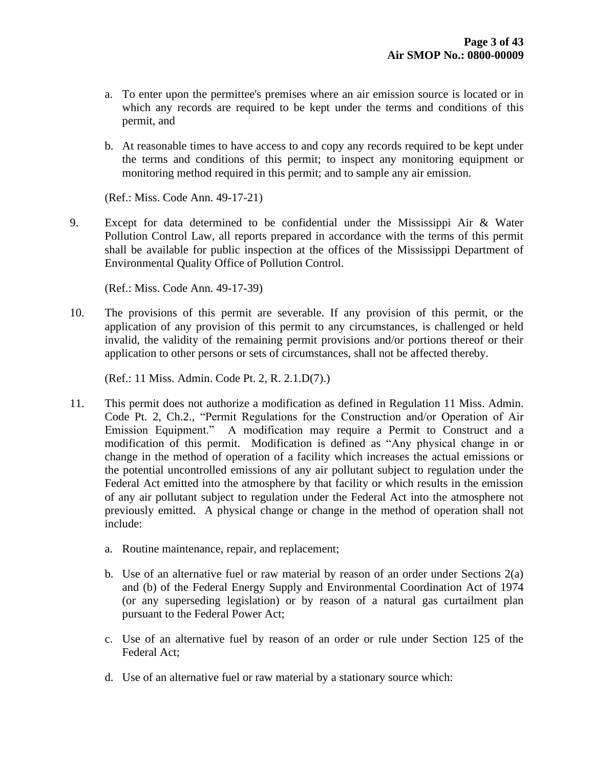- a. To enter upon the permittee's premises where an air emission source is located or in which any records are required to be kept under the terms and conditions of this permit, and
- b. At reasonable times to have access to and copy any records required to be kept under the terms and conditions of this permit; to inspect any monitoring equipment or monitoring method required in this permit; and to sample any air emission.

(Ref.: Miss. Code Ann. 49-17-21)

9. Except for data determined to be confidential under the Mississippi Air & Water Pollution Control Law, all reports prepared in accordance with the terms of this permit shall be available for public inspection at the offices of the Mississippi Department of Environmental Quality Office of Pollution Control.

(Ref.: Miss. Code Ann. 49-17-39)

10. The provisions of this permit are severable. If any provision of this permit, or the application of any provision of this permit to any circumstances, is challenged or held invalid, the validity of the remaining permit provisions and/or portions thereof or their application to other persons or sets of circumstances, shall not be affected thereby.

(Ref.: 11 Miss. Admin. Code Pt. 2, R. 2.1.D(7).)

- 11. This permit does not authorize a modification as defined in Regulation 11 Miss. Admin. Code Pt. 2, Ch.2., "Permit Regulations for the Construction and/or Operation of Air Emission Equipment." A modification may require a Permit to Construct and a modification of this permit. Modification is defined as "Any physical change in or change in the method of operation of a facility which increases the actual emissions or the potential uncontrolled emissions of any air pollutant subject to regulation under the Federal Act emitted into the atmosphere by that facility or which results in the emission of any air pollutant subject to regulation under the Federal Act into the atmosphere not previously emitted. A physical change or change in the method of operation shall not include:
	- a. Routine maintenance, repair, and replacement;
	- b. Use of an alternative fuel or raw material by reason of an order under Sections 2(a) and (b) of the Federal Energy Supply and Environmental Coordination Act of 1974 (or any superseding legislation) or by reason of a natural gas curtailment plan pursuant to the Federal Power Act;
	- c. Use of an alternative fuel by reason of an order or rule under Section 125 of the Federal Act;
	- d. Use of an alternative fuel or raw material by a stationary source which: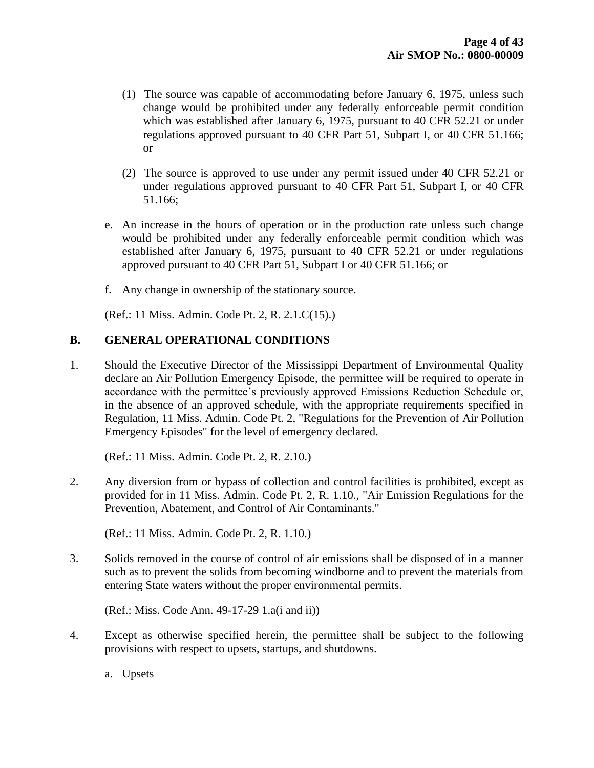- (1) The source was capable of accommodating before January 6, 1975, unless such change would be prohibited under any federally enforceable permit condition which was established after January 6, 1975, pursuant to 40 CFR 52.21 or under regulations approved pursuant to 40 CFR Part 51, Subpart I, or 40 CFR 51.166; or
- (2) The source is approved to use under any permit issued under 40 CFR 52.21 or under regulations approved pursuant to 40 CFR Part 51, Subpart I, or 40 CFR 51.166;
- e. An increase in the hours of operation or in the production rate unless such change would be prohibited under any federally enforceable permit condition which was established after January 6, 1975, pursuant to 40 CFR 52.21 or under regulations approved pursuant to 40 CFR Part 51, Subpart I or 40 CFR 51.166; or
- f. Any change in ownership of the stationary source.

(Ref.: 11 Miss. Admin. Code Pt. 2, R. 2.1.C(15).)

#### **B. GENERAL OPERATIONAL CONDITIONS**

1. Should the Executive Director of the Mississippi Department of Environmental Quality declare an Air Pollution Emergency Episode, the permittee will be required to operate in accordance with the permittee's previously approved Emissions Reduction Schedule or, in the absence of an approved schedule, with the appropriate requirements specified in Regulation, 11 Miss. Admin. Code Pt. 2, "Regulations for the Prevention of Air Pollution Emergency Episodes" for the level of emergency declared.

(Ref.: 11 Miss. Admin. Code Pt. 2, R. 2.10.)

2. Any diversion from or bypass of collection and control facilities is prohibited, except as provided for in 11 Miss. Admin. Code Pt. 2, R. 1.10., "Air Emission Regulations for the Prevention, Abatement, and Control of Air Contaminants."

(Ref.: 11 Miss. Admin. Code Pt. 2, R. 1.10.)

3. Solids removed in the course of control of air emissions shall be disposed of in a manner such as to prevent the solids from becoming windborne and to prevent the materials from entering State waters without the proper environmental permits.

(Ref.: Miss. Code Ann. 49-17-29 1.a(i and ii))

4. Except as otherwise specified herein, the permittee shall be subject to the following provisions with respect to upsets, startups, and shutdowns.

a. Upsets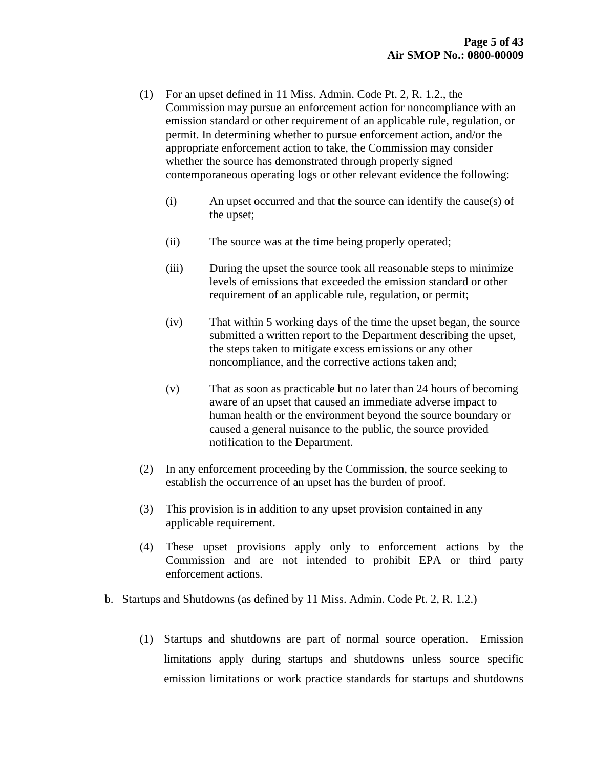- (1) For an upset defined in 11 Miss. Admin. Code Pt. 2, R. 1.2., the Commission may pursue an enforcement action for noncompliance with an emission standard or other requirement of an applicable rule, regulation, or permit. In determining whether to pursue enforcement action, and/or the appropriate enforcement action to take, the Commission may consider whether the source has demonstrated through properly signed contemporaneous operating logs or other relevant evidence the following:
	- (i) An upset occurred and that the source can identify the cause(s) of the upset;
	- (ii) The source was at the time being properly operated;
	- (iii) During the upset the source took all reasonable steps to minimize levels of emissions that exceeded the emission standard or other requirement of an applicable rule, regulation, or permit;
	- (iv) That within 5 working days of the time the upset began, the source submitted a written report to the Department describing the upset, the steps taken to mitigate excess emissions or any other noncompliance, and the corrective actions taken and;
	- (v) That as soon as practicable but no later than 24 hours of becoming aware of an upset that caused an immediate adverse impact to human health or the environment beyond the source boundary or caused a general nuisance to the public, the source provided notification to the Department.
- (2) In any enforcement proceeding by the Commission, the source seeking to establish the occurrence of an upset has the burden of proof.
- (3) This provision is in addition to any upset provision contained in any applicable requirement.
- (4) These upset provisions apply only to enforcement actions by the Commission and are not intended to prohibit EPA or third party enforcement actions.
- b. Startups and Shutdowns (as defined by 11 Miss. Admin. Code Pt. 2, R. 1.2.)
	- (1) Startups and shutdowns are part of normal source operation. Emission limitations apply during startups and shutdowns unless source specific emission limitations or work practice standards for startups and shutdowns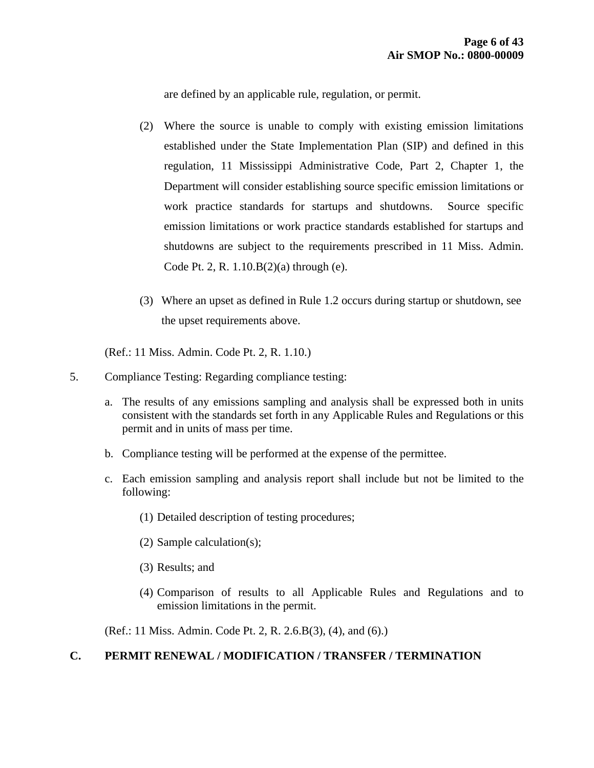are defined by an applicable rule, regulation, or permit.

- (2) Where the source is unable to comply with existing emission limitations established under the State Implementation Plan (SIP) and defined in this regulation, 11 Mississippi Administrative Code, Part 2, Chapter 1, the Department will consider establishing source specific emission limitations or work practice standards for startups and shutdowns. Source specific emission limitations or work practice standards established for startups and shutdowns are subject to the requirements prescribed in 11 Miss. Admin. Code Pt. 2, R. 1.10.B(2)(a) through (e).
- (3) Where an upset as defined in Rule 1.2 occurs during startup or shutdown, see the upset requirements above.

(Ref.: 11 Miss. Admin. Code Pt. 2, R. 1.10.)

- 5. Compliance Testing: Regarding compliance testing:
	- a. The results of any emissions sampling and analysis shall be expressed both in units consistent with the standards set forth in any Applicable Rules and Regulations or this permit and in units of mass per time.
	- b. Compliance testing will be performed at the expense of the permittee.
	- c. Each emission sampling and analysis report shall include but not be limited to the following:
		- (1) Detailed description of testing procedures;
		- (2) Sample calculation(s);
		- (3) Results; and
		- (4) Comparison of results to all Applicable Rules and Regulations and to emission limitations in the permit.

(Ref.: 11 Miss. Admin. Code Pt. 2, R. 2.6.B(3), (4), and (6).)

#### **C. PERMIT RENEWAL / MODIFICATION / TRANSFER / TERMINATION**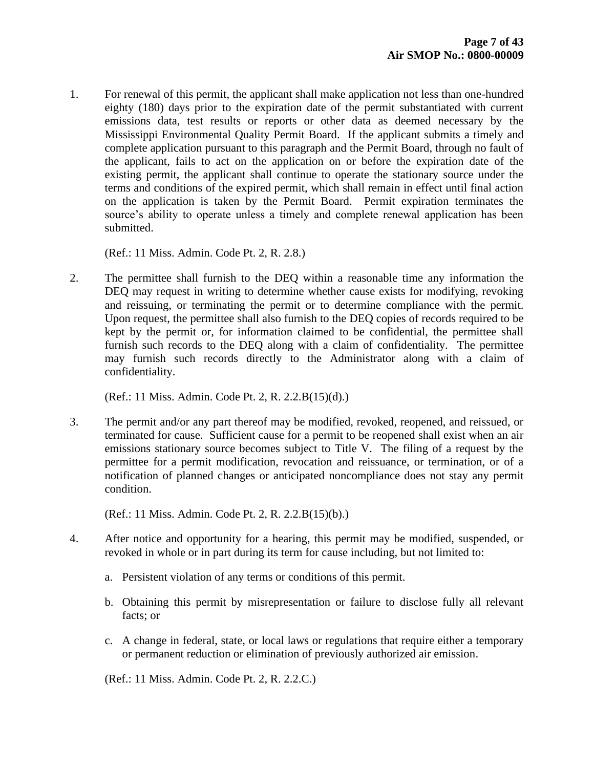1. For renewal of this permit, the applicant shall make application not less than one-hundred eighty (180) days prior to the expiration date of the permit substantiated with current emissions data, test results or reports or other data as deemed necessary by the Mississippi Environmental Quality Permit Board. If the applicant submits a timely and complete application pursuant to this paragraph and the Permit Board, through no fault of the applicant, fails to act on the application on or before the expiration date of the existing permit, the applicant shall continue to operate the stationary source under the terms and conditions of the expired permit, which shall remain in effect until final action on the application is taken by the Permit Board. Permit expiration terminates the source's ability to operate unless a timely and complete renewal application has been submitted.

(Ref.: 11 Miss. Admin. Code Pt. 2, R. 2.8.)

2. The permittee shall furnish to the DEQ within a reasonable time any information the DEQ may request in writing to determine whether cause exists for modifying, revoking and reissuing, or terminating the permit or to determine compliance with the permit. Upon request, the permittee shall also furnish to the DEQ copies of records required to be kept by the permit or, for information claimed to be confidential, the permittee shall furnish such records to the DEQ along with a claim of confidentiality. The permittee may furnish such records directly to the Administrator along with a claim of confidentiality.

(Ref.: 11 Miss. Admin. Code Pt. 2, R. 2.2.B(15)(d).)

3. The permit and/or any part thereof may be modified, revoked, reopened, and reissued, or terminated for cause. Sufficient cause for a permit to be reopened shall exist when an air emissions stationary source becomes subject to Title V. The filing of a request by the permittee for a permit modification, revocation and reissuance, or termination, or of a notification of planned changes or anticipated noncompliance does not stay any permit condition.

(Ref.: 11 Miss. Admin. Code Pt. 2, R. 2.2.B(15)(b).)

- 4. After notice and opportunity for a hearing, this permit may be modified, suspended, or revoked in whole or in part during its term for cause including, but not limited to:
	- a. Persistent violation of any terms or conditions of this permit.
	- b. Obtaining this permit by misrepresentation or failure to disclose fully all relevant facts; or
	- c. A change in federal, state, or local laws or regulations that require either a temporary or permanent reduction or elimination of previously authorized air emission.

(Ref.: 11 Miss. Admin. Code Pt. 2, R. 2.2.C.)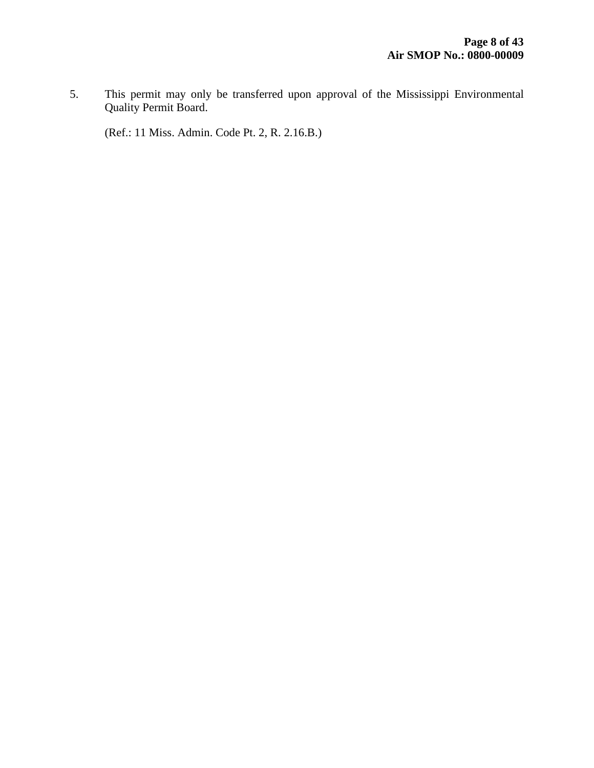5. This permit may only be transferred upon approval of the Mississippi Environmental Quality Permit Board.

(Ref.: 11 Miss. Admin. Code Pt. 2, R. 2.16.B.)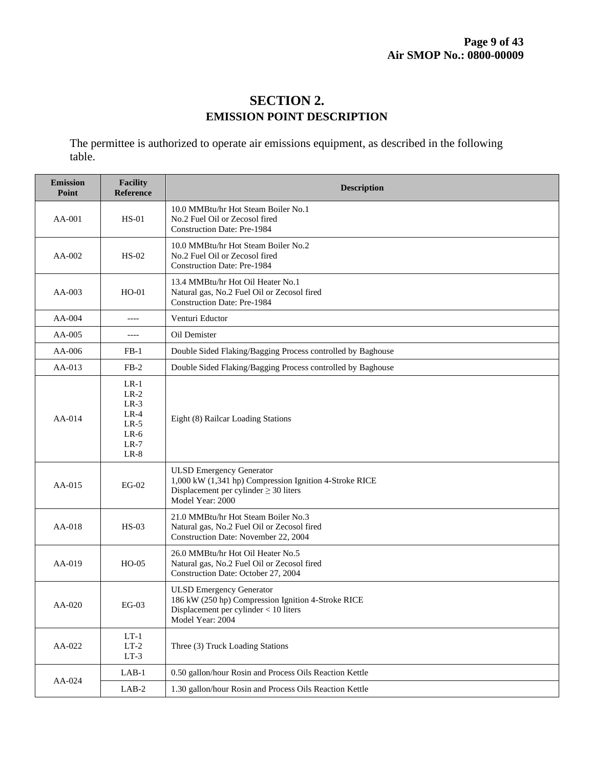## **SECTION 2. EMISSION POINT DESCRIPTION**

The permittee is authorized to operate air emissions equipment, as described in the following table.

| <b>Emission</b><br>Point | <b>Facility</b><br>Reference                                                 | <b>Description</b>                                                                                                                                          |  |  |  |
|--------------------------|------------------------------------------------------------------------------|-------------------------------------------------------------------------------------------------------------------------------------------------------------|--|--|--|
| AA-001                   | $HS-01$                                                                      | 10.0 MMBtu/hr Hot Steam Boiler No.1<br>No.2 Fuel Oil or Zecosol fired<br><b>Construction Date: Pre-1984</b>                                                 |  |  |  |
| AA-002                   | $HS-02$                                                                      | 10.0 MMBtu/hr Hot Steam Boiler No.2<br>No.2 Fuel Oil or Zecosol fired<br><b>Construction Date: Pre-1984</b>                                                 |  |  |  |
| AA-003                   | $HO-01$                                                                      | 13.4 MMBtu/hr Hot Oil Heater No.1<br>Natural gas, No.2 Fuel Oil or Zecosol fired<br><b>Construction Date: Pre-1984</b>                                      |  |  |  |
| AA-004                   | $---$                                                                        | Venturi Eductor                                                                                                                                             |  |  |  |
| AA-005                   | $---$                                                                        | Oil Demister                                                                                                                                                |  |  |  |
| $AA-006$                 | $FB-1$                                                                       | Double Sided Flaking/Bagging Process controlled by Baghouse                                                                                                 |  |  |  |
| AA-013                   | $FB-2$                                                                       | Double Sided Flaking/Bagging Process controlled by Baghouse                                                                                                 |  |  |  |
| $AA-014$                 | $LR-1$<br>$LR-2$<br>$LR-3$<br>$LR-4$<br>$LR-5$<br>$LR-6$<br>$LR-7$<br>$LR-8$ | Eight (8) Railcar Loading Stations                                                                                                                          |  |  |  |
| $AA-015$                 | $EG-02$                                                                      | <b>ULSD Emergency Generator</b><br>1,000 kW (1,341 hp) Compression Ignition 4-Stroke RICE<br>Displacement per cylinder $\geq$ 30 liters<br>Model Year: 2000 |  |  |  |
| AA-018                   | $HS-03$                                                                      | 21.0 MMBtu/hr Hot Steam Boiler No.3<br>Natural gas, No.2 Fuel Oil or Zecosol fired<br>Construction Date: November 22, 2004                                  |  |  |  |
| AA-019                   | $HO-05$                                                                      | 26.0 MMBtu/hr Hot Oil Heater No.5<br>Natural gas, No.2 Fuel Oil or Zecosol fired<br>Construction Date: October 27, 2004                                     |  |  |  |
| AA-020                   | $EG-03$                                                                      | <b>ULSD Emergency Generator</b><br>186 kW (250 hp) Compression Ignition 4-Stroke RICE<br>Displacement per cylinder < 10 liters<br>Model Year: 2004          |  |  |  |
| AA-022                   | $LT-1$<br>$LT-2$<br>$LT-3$                                                   | Three (3) Truck Loading Stations                                                                                                                            |  |  |  |
|                          | $LAB-1$                                                                      | 0.50 gallon/hour Rosin and Process Oils Reaction Kettle                                                                                                     |  |  |  |
| AA-024                   | $LAB-2$                                                                      | 1.30 gallon/hour Rosin and Process Oils Reaction Kettle                                                                                                     |  |  |  |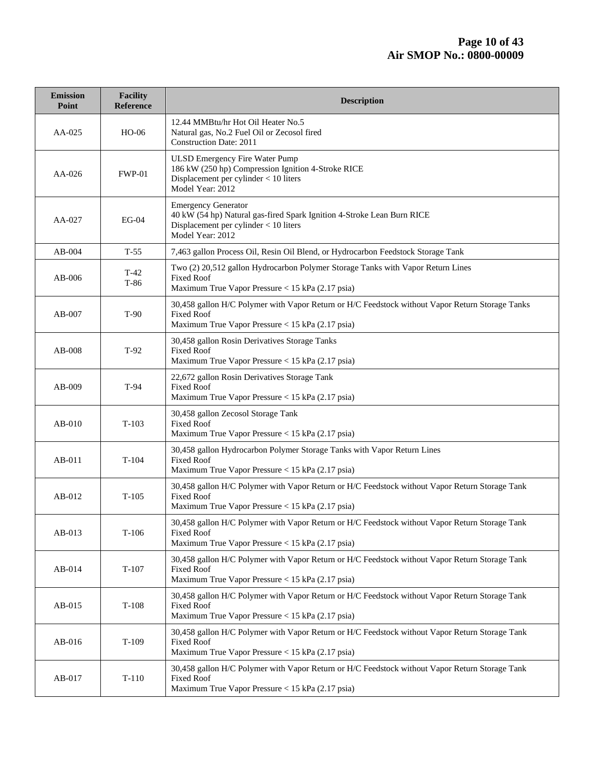| <b>Emission</b><br>Point | <b>Facility</b><br><b>Reference</b> | <b>Description</b>                                                                                                                                                       |  |  |  |
|--------------------------|-------------------------------------|--------------------------------------------------------------------------------------------------------------------------------------------------------------------------|--|--|--|
| AA-025                   | $HO-06$                             | 12.44 MMBtu/hr Hot Oil Heater No.5<br>Natural gas, No.2 Fuel Oil or Zecosol fired<br><b>Construction Date: 2011</b>                                                      |  |  |  |
| AA-026                   | <b>FWP-01</b>                       | <b>ULSD Emergency Fire Water Pump</b><br>186 kW (250 hp) Compression Ignition 4-Stroke RICE<br>Displacement per cylinder < 10 liters<br>Model Year: 2012                 |  |  |  |
| AA-027                   | <b>EG-04</b>                        | <b>Emergency Generator</b><br>40 kW (54 hp) Natural gas-fired Spark Ignition 4-Stroke Lean Burn RICE<br>Displacement per cylinder $<$ 10 liters<br>Model Year: 2012      |  |  |  |
| $AB-004$                 | $T-55$                              | 7,463 gallon Process Oil, Resin Oil Blend, or Hydrocarbon Feedstock Storage Tank                                                                                         |  |  |  |
| $AB-006$                 | $T-42$<br>$T-86$                    | Two (2) 20,512 gallon Hydrocarbon Polymer Storage Tanks with Vapor Return Lines<br><b>Fixed Roof</b><br>Maximum True Vapor Pressure < 15 kPa (2.17 psia)                 |  |  |  |
| $AB-007$                 | $T-90$                              | 30,458 gallon H/C Polymer with Vapor Return or H/C Feedstock without Vapor Return Storage Tanks<br><b>Fixed Roof</b><br>Maximum True Vapor Pressure < 15 kPa (2.17 psia) |  |  |  |
| AB-008                   | $T-92$                              | 30,458 gallon Rosin Derivatives Storage Tanks<br><b>Fixed Roof</b><br>Maximum True Vapor Pressure < 15 kPa (2.17 psia)                                                   |  |  |  |
| AB-009                   | $T-94$                              | 22,672 gallon Rosin Derivatives Storage Tank<br><b>Fixed Roof</b><br>Maximum True Vapor Pressure < 15 kPa (2.17 psia)                                                    |  |  |  |
| $AB-010$                 | $T-103$                             | 30,458 gallon Zecosol Storage Tank<br><b>Fixed Roof</b><br>Maximum True Vapor Pressure < 15 kPa (2.17 psia)                                                              |  |  |  |
| AB-011                   | $T-104$                             | 30,458 gallon Hydrocarbon Polymer Storage Tanks with Vapor Return Lines<br><b>Fixed Roof</b><br>Maximum True Vapor Pressure < 15 kPa (2.17 psia)                         |  |  |  |
| AB-012                   | $T-105$                             | 30,458 gallon H/C Polymer with Vapor Return or H/C Feedstock without Vapor Return Storage Tank<br><b>Fixed Roof</b><br>Maximum True Vapor Pressure < 15 kPa (2.17 psia)  |  |  |  |
| AB-013                   | $T-106$                             | 30,458 gallon H/C Polymer with Vapor Return or H/C Feedstock without Vapor Return Storage Tank<br><b>Fixed Roof</b><br>Maximum True Vapor Pressure < 15 kPa (2.17 psia)  |  |  |  |
| AB-014                   | $T-107$                             | 30,458 gallon H/C Polymer with Vapor Return or H/C Feedstock without Vapor Return Storage Tank<br><b>Fixed Roof</b><br>Maximum True Vapor Pressure < 15 kPa (2.17 psia)  |  |  |  |
| $AB-015$                 | $T-108$                             | 30,458 gallon H/C Polymer with Vapor Return or H/C Feedstock without Vapor Return Storage Tank<br><b>Fixed Roof</b><br>Maximum True Vapor Pressure < 15 kPa (2.17 psia)  |  |  |  |
| $AB-016$                 | $T-109$                             | 30,458 gallon H/C Polymer with Vapor Return or H/C Feedstock without Vapor Return Storage Tank<br><b>Fixed Roof</b><br>Maximum True Vapor Pressure < 15 kPa (2.17 psia)  |  |  |  |
| AB-017                   | $T-110$                             | 30,458 gallon H/C Polymer with Vapor Return or H/C Feedstock without Vapor Return Storage Tank<br><b>Fixed Roof</b><br>Maximum True Vapor Pressure < 15 kPa (2.17 psia)  |  |  |  |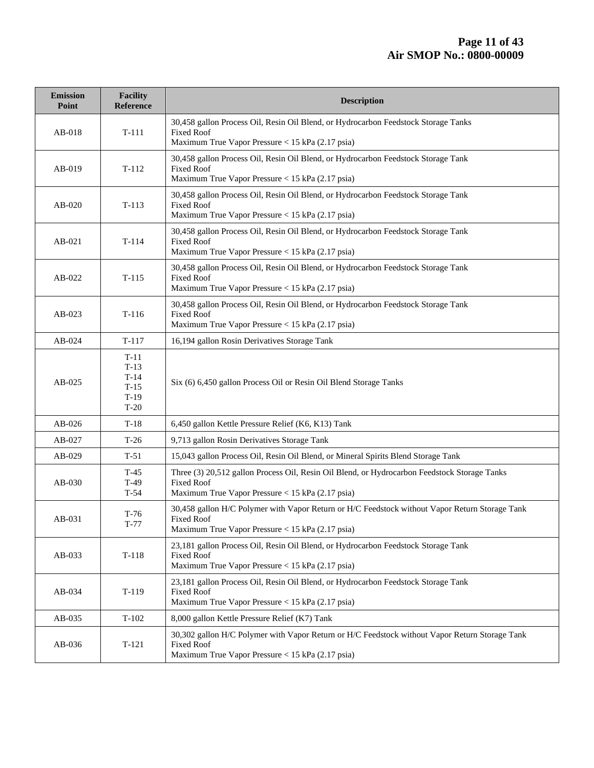| <b>Emission</b><br>Point | <b>Facility</b><br>Reference                             | <b>Description</b>                                                                                                                                                      |  |  |  |
|--------------------------|----------------------------------------------------------|-------------------------------------------------------------------------------------------------------------------------------------------------------------------------|--|--|--|
| $AB-018$                 | $T-111$                                                  | 30,458 gallon Process Oil, Resin Oil Blend, or Hydrocarbon Feedstock Storage Tanks<br><b>Fixed Roof</b><br>Maximum True Vapor Pressure < 15 kPa (2.17 psia)             |  |  |  |
| AB-019                   | $T-112$                                                  | 30,458 gallon Process Oil, Resin Oil Blend, or Hydrocarbon Feedstock Storage Tank<br><b>Fixed Roof</b><br>Maximum True Vapor Pressure < 15 kPa (2.17 psia)              |  |  |  |
| AB-020                   | $T-113$                                                  | 30,458 gallon Process Oil, Resin Oil Blend, or Hydrocarbon Feedstock Storage Tank<br><b>Fixed Roof</b><br>Maximum True Vapor Pressure < 15 kPa (2.17 psia)              |  |  |  |
| AB-021                   | $T-114$                                                  | 30,458 gallon Process Oil, Resin Oil Blend, or Hydrocarbon Feedstock Storage Tank<br><b>Fixed Roof</b><br>Maximum True Vapor Pressure < 15 kPa (2.17 psia)              |  |  |  |
| AB-022                   | $T-115$                                                  | 30,458 gallon Process Oil, Resin Oil Blend, or Hydrocarbon Feedstock Storage Tank<br><b>Fixed Roof</b><br>Maximum True Vapor Pressure < 15 kPa (2.17 psia)              |  |  |  |
| $AB-023$                 | $T-116$                                                  | 30,458 gallon Process Oil, Resin Oil Blend, or Hydrocarbon Feedstock Storage Tank<br><b>Fixed Roof</b><br>Maximum True Vapor Pressure < 15 kPa (2.17 psia)              |  |  |  |
| AB-024                   | $T-117$                                                  | 16,194 gallon Rosin Derivatives Storage Tank                                                                                                                            |  |  |  |
| $AB-025$                 | $T-11$<br>$T-13$<br>$T-14$<br>$T-15$<br>$T-19$<br>$T-20$ | Six (6) 6,450 gallon Process Oil or Resin Oil Blend Storage Tanks                                                                                                       |  |  |  |
| $AB-026$                 | $T-18$                                                   | 6,450 gallon Kettle Pressure Relief (K6, K13) Tank                                                                                                                      |  |  |  |
| AB-027                   | $T-26$                                                   | 9,713 gallon Rosin Derivatives Storage Tank                                                                                                                             |  |  |  |
| $AB-029$                 | $T-51$                                                   | 15,043 gallon Process Oil, Resin Oil Blend, or Mineral Spirits Blend Storage Tank                                                                                       |  |  |  |
| AB-030                   | $T-45$<br>$T-49$<br>$T-54$                               | Three (3) 20,512 gallon Process Oil, Resin Oil Blend, or Hydrocarbon Feedstock Storage Tanks<br><b>Fixed Roof</b><br>Maximum True Vapor Pressure < 15 kPa (2.17 psia)   |  |  |  |
| AB-031                   | $T-76$<br>T-77                                           | 30,458 gallon H/C Polymer with Vapor Return or H/C Feedstock without Vapor Return Storage Tank<br>Fixed Roof<br>Maximum True Vapor Pressure < 15 kPa (2.17 psia)        |  |  |  |
| AB-033                   | $T-118$                                                  | 23,181 gallon Process Oil, Resin Oil Blend, or Hydrocarbon Feedstock Storage Tank<br><b>Fixed Roof</b><br>Maximum True Vapor Pressure < 15 kPa (2.17 psia)              |  |  |  |
| $AB-034$                 | $T-119$                                                  | 23,181 gallon Process Oil, Resin Oil Blend, or Hydrocarbon Feedstock Storage Tank<br><b>Fixed Roof</b><br>Maximum True Vapor Pressure < 15 kPa (2.17 psia)              |  |  |  |
| AB-035                   | $T-102$                                                  | 8,000 gallon Kettle Pressure Relief (K7) Tank                                                                                                                           |  |  |  |
| AB-036                   | $T-121$                                                  | 30,302 gallon H/C Polymer with Vapor Return or H/C Feedstock without Vapor Return Storage Tank<br><b>Fixed Roof</b><br>Maximum True Vapor Pressure < 15 kPa (2.17 psia) |  |  |  |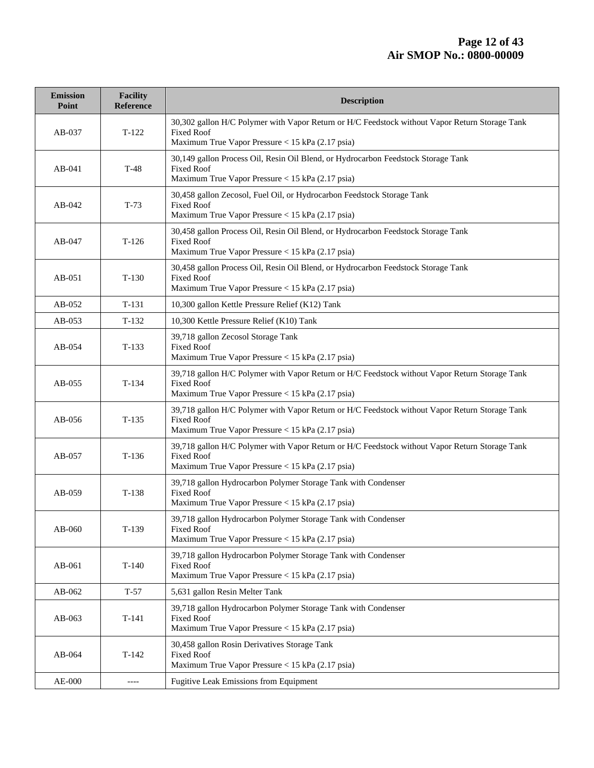| <b>Emission</b><br>Point | <b>Facility</b><br><b>Reference</b> | <b>Description</b>                                                                                                                                                      |  |  |  |
|--------------------------|-------------------------------------|-------------------------------------------------------------------------------------------------------------------------------------------------------------------------|--|--|--|
| AB-037                   | $T-122$                             | 30,302 gallon H/C Polymer with Vapor Return or H/C Feedstock without Vapor Return Storage Tank<br><b>Fixed Roof</b><br>Maximum True Vapor Pressure < 15 kPa (2.17 psia) |  |  |  |
| $AB-041$                 | $T-48$                              | 30,149 gallon Process Oil, Resin Oil Blend, or Hydrocarbon Feedstock Storage Tank<br><b>Fixed Roof</b><br>Maximum True Vapor Pressure < 15 kPa (2.17 psia)              |  |  |  |
| $AB-042$                 | $T-73$                              | 30,458 gallon Zecosol, Fuel Oil, or Hydrocarbon Feedstock Storage Tank<br><b>Fixed Roof</b><br>Maximum True Vapor Pressure < 15 kPa (2.17 psia)                         |  |  |  |
| AB-047                   | $T-126$                             | 30,458 gallon Process Oil, Resin Oil Blend, or Hydrocarbon Feedstock Storage Tank<br><b>Fixed Roof</b><br>Maximum True Vapor Pressure < 15 kPa (2.17 psia)              |  |  |  |
| $AB-051$                 | $T-130$                             | 30,458 gallon Process Oil, Resin Oil Blend, or Hydrocarbon Feedstock Storage Tank<br><b>Fixed Roof</b><br>Maximum True Vapor Pressure < 15 kPa (2.17 psia)              |  |  |  |
| AB-052                   | $T-131$                             | 10,300 gallon Kettle Pressure Relief (K12) Tank                                                                                                                         |  |  |  |
| AB-053                   | $T-132$                             | 10,300 Kettle Pressure Relief (K10) Tank                                                                                                                                |  |  |  |
| AB-054                   | $T-133$                             | 39,718 gallon Zecosol Storage Tank<br><b>Fixed Roof</b><br>Maximum True Vapor Pressure < 15 kPa (2.17 psia)                                                             |  |  |  |
| $AB-055$                 | $T-134$                             | 39,718 gallon H/C Polymer with Vapor Return or H/C Feedstock without Vapor Return Storage Tank<br><b>Fixed Roof</b><br>Maximum True Vapor Pressure < 15 kPa (2.17 psia) |  |  |  |
| AB-056                   | $T-135$                             | 39,718 gallon H/C Polymer with Vapor Return or H/C Feedstock without Vapor Return Storage Tank<br><b>Fixed Roof</b><br>Maximum True Vapor Pressure < 15 kPa (2.17 psia) |  |  |  |
| AB-057                   | $T-136$                             | 39,718 gallon H/C Polymer with Vapor Return or H/C Feedstock without Vapor Return Storage Tank<br><b>Fixed Roof</b><br>Maximum True Vapor Pressure < 15 kPa (2.17 psia) |  |  |  |
| AB-059                   | $T-138$                             | 39,718 gallon Hydrocarbon Polymer Storage Tank with Condenser<br><b>Fixed Roof</b><br>Maximum True Vapor Pressure < 15 kPa (2.17 psia)                                  |  |  |  |
| AB-060                   | $T-139$                             | 39,718 gallon Hydrocarbon Polymer Storage Tank with Condenser<br><b>Fixed Roof</b><br>Maximum True Vapor Pressure < 15 kPa (2.17 psia)                                  |  |  |  |
| AB-061                   | $T-140$                             | 39,718 gallon Hydrocarbon Polymer Storage Tank with Condenser<br><b>Fixed Roof</b><br>Maximum True Vapor Pressure < 15 kPa (2.17 psia)                                  |  |  |  |
| AB-062                   | $T-57$                              | 5,631 gallon Resin Melter Tank                                                                                                                                          |  |  |  |
| $AB-063$                 | $T-141$                             | 39,718 gallon Hydrocarbon Polymer Storage Tank with Condenser<br><b>Fixed Roof</b><br>Maximum True Vapor Pressure < 15 kPa (2.17 psia)                                  |  |  |  |
| AB-064                   | $T-142$                             | 30,458 gallon Rosin Derivatives Storage Tank<br><b>Fixed Roof</b><br>Maximum True Vapor Pressure < 15 kPa (2.17 psia)                                                   |  |  |  |
| AE-000                   | $--- -$                             | Fugitive Leak Emissions from Equipment                                                                                                                                  |  |  |  |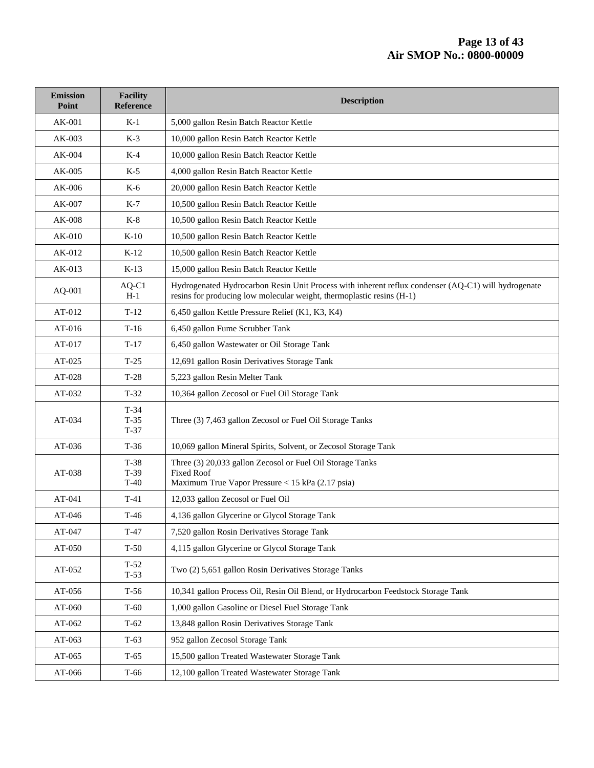#### **Page 13 of 43 Air SMOP No.: 0800-00009**

| <b>Emission</b><br>Point | <b>Facility</b><br><b>Reference</b> | <b>Description</b>                                                                                                                                                           |  |  |
|--------------------------|-------------------------------------|------------------------------------------------------------------------------------------------------------------------------------------------------------------------------|--|--|
| AK-001                   | $K-1$                               | 5,000 gallon Resin Batch Reactor Kettle                                                                                                                                      |  |  |
| AK-003                   | $K-3$                               | 10,000 gallon Resin Batch Reactor Kettle                                                                                                                                     |  |  |
| AK-004                   | $K-4$                               | 10,000 gallon Resin Batch Reactor Kettle                                                                                                                                     |  |  |
| $AK-005$                 | $K-5$                               | 4,000 gallon Resin Batch Reactor Kettle                                                                                                                                      |  |  |
| AK-006                   | K-6                                 | 20,000 gallon Resin Batch Reactor Kettle                                                                                                                                     |  |  |
| AK-007                   | $K-7$                               | 10,500 gallon Resin Batch Reactor Kettle                                                                                                                                     |  |  |
| $AK-008$                 | $K-8$                               | 10,500 gallon Resin Batch Reactor Kettle                                                                                                                                     |  |  |
| AK-010                   | $K-10$                              | 10,500 gallon Resin Batch Reactor Kettle                                                                                                                                     |  |  |
| AK-012                   | $K-12$                              | 10,500 gallon Resin Batch Reactor Kettle                                                                                                                                     |  |  |
| AK-013                   | $K-13$                              | 15,000 gallon Resin Batch Reactor Kettle                                                                                                                                     |  |  |
| AQ-001                   | AQ-C1<br>$H-1$                      | Hydrogenated Hydrocarbon Resin Unit Process with inherent reflux condenser (AQ-C1) will hydrogenate<br>resins for producing low molecular weight, thermoplastic resins (H-1) |  |  |
| AT-012                   | $T-12$                              | 6,450 gallon Kettle Pressure Relief (K1, K3, K4)                                                                                                                             |  |  |
| $AT-016$                 | $T-16$                              | 6,450 gallon Fume Scrubber Tank                                                                                                                                              |  |  |
| AT-017                   | $T-17$                              | 6,450 gallon Wastewater or Oil Storage Tank                                                                                                                                  |  |  |
| AT-025                   | $T-25$                              | 12,691 gallon Rosin Derivatives Storage Tank                                                                                                                                 |  |  |
| AT-028                   | $T-28$                              | 5,223 gallon Resin Melter Tank                                                                                                                                               |  |  |
| AT-032                   | $T-32$                              | 10,364 gallon Zecosol or Fuel Oil Storage Tank                                                                                                                               |  |  |
| AT-034                   | $T-34$<br>$T-35$<br>$T-37$          | Three (3) 7,463 gallon Zecosol or Fuel Oil Storage Tanks                                                                                                                     |  |  |
| AT-036                   | $T-36$                              | 10,069 gallon Mineral Spirits, Solvent, or Zecosol Storage Tank                                                                                                              |  |  |
| AT-038                   | $T-38$<br>$T-39$<br>$T-40$          | Three (3) 20,033 gallon Zecosol or Fuel Oil Storage Tanks<br><b>Fixed Roof</b><br>Maximum True Vapor Pressure < 15 kPa (2.17 psia)                                           |  |  |
| AT-041                   | $T-41$                              | 12,033 gallon Zecosol or Fuel Oil                                                                                                                                            |  |  |
| $AT-046$                 | $T-46$                              | 4,136 gallon Glycerine or Glycol Storage Tank                                                                                                                                |  |  |
| AT-047                   | $T-47$                              | 7,520 gallon Rosin Derivatives Storage Tank                                                                                                                                  |  |  |
| AT-050                   | $T-50$                              | 4,115 gallon Glycerine or Glycol Storage Tank                                                                                                                                |  |  |
| AT-052                   | $T-52$<br>$T-53$                    | Two (2) 5,651 gallon Rosin Derivatives Storage Tanks                                                                                                                         |  |  |
| AT-056                   | $T-56$                              | 10,341 gallon Process Oil, Resin Oil Blend, or Hydrocarbon Feedstock Storage Tank                                                                                            |  |  |
| AT-060                   | $T-60$                              | 1,000 gallon Gasoline or Diesel Fuel Storage Tank                                                                                                                            |  |  |
| AT-062                   | $T-62$                              | 13,848 gallon Rosin Derivatives Storage Tank                                                                                                                                 |  |  |
| AT-063                   | $T-63$                              | 952 gallon Zecosol Storage Tank                                                                                                                                              |  |  |
| AT-065                   | $T-65$                              | 15,500 gallon Treated Wastewater Storage Tank                                                                                                                                |  |  |
| AT-066                   | T-66                                | 12,100 gallon Treated Wastewater Storage Tank                                                                                                                                |  |  |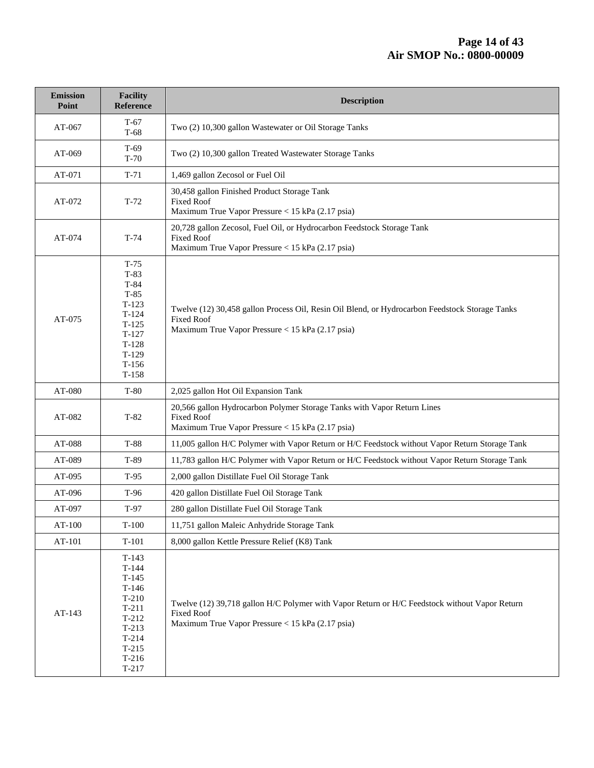| <b>Emission</b><br>Point | <b>Facility</b><br>Reference                                                                                                     | <b>Description</b>                                                                                                                                                      |  |  |  |
|--------------------------|----------------------------------------------------------------------------------------------------------------------------------|-------------------------------------------------------------------------------------------------------------------------------------------------------------------------|--|--|--|
| AT-067                   | $T-67$<br>$T-68$                                                                                                                 | Two (2) 10,300 gallon Wastewater or Oil Storage Tanks                                                                                                                   |  |  |  |
| AT-069                   | $T-69$<br>$T-70$                                                                                                                 | Two (2) 10,300 gallon Treated Wastewater Storage Tanks                                                                                                                  |  |  |  |
| AT-071                   | $T-71$                                                                                                                           | 1,469 gallon Zecosol or Fuel Oil                                                                                                                                        |  |  |  |
| AT-072                   | $T-72$                                                                                                                           | 30,458 gallon Finished Product Storage Tank<br><b>Fixed Roof</b><br>Maximum True Vapor Pressure < 15 kPa (2.17 psia)                                                    |  |  |  |
| AT-074                   | $T-74$                                                                                                                           | 20,728 gallon Zecosol, Fuel Oil, or Hydrocarbon Feedstock Storage Tank<br><b>Fixed Roof</b><br>Maximum True Vapor Pressure < 15 kPa (2.17 psia)                         |  |  |  |
| AT-075                   | $T-75$<br>$T-83$<br>$T-84$<br>$T-85$<br>$T-123$<br>$T-124$<br>$T-125$<br>$T-127$<br>$T-128$<br>$T-129$<br>$T-156$<br>$T-158$     | Twelve (12) 30,458 gallon Process Oil, Resin Oil Blend, or Hydrocarbon Feedstock Storage Tanks<br><b>Fixed Roof</b><br>Maximum True Vapor Pressure < 15 kPa (2.17 psia) |  |  |  |
| AT-080                   | $T-80$                                                                                                                           | 2,025 gallon Hot Oil Expansion Tank                                                                                                                                     |  |  |  |
| AT-082                   | $T-82$                                                                                                                           | 20,566 gallon Hydrocarbon Polymer Storage Tanks with Vapor Return Lines<br><b>Fixed Roof</b><br>Maximum True Vapor Pressure < 15 kPa (2.17 psia)                        |  |  |  |
| AT-088                   | T-88                                                                                                                             | 11,005 gallon H/C Polymer with Vapor Return or H/C Feedstock without Vapor Return Storage Tank                                                                          |  |  |  |
| AT-089                   | T-89                                                                                                                             | 11,783 gallon H/C Polymer with Vapor Return or H/C Feedstock without Vapor Return Storage Tank                                                                          |  |  |  |
| AT-095                   | $T-95$                                                                                                                           | 2,000 gallon Distillate Fuel Oil Storage Tank                                                                                                                           |  |  |  |
| AT-096                   | T-96                                                                                                                             | 420 gallon Distillate Fuel Oil Storage Tank                                                                                                                             |  |  |  |
| AT-097                   | $T-97$                                                                                                                           | 280 gallon Distillate Fuel Oil Storage Tank                                                                                                                             |  |  |  |
| AT-100                   | $T-100$                                                                                                                          | 11,751 gallon Maleic Anhydride Storage Tank                                                                                                                             |  |  |  |
| AT-101                   | $T-101$                                                                                                                          | 8,000 gallon Kettle Pressure Relief (K8) Tank                                                                                                                           |  |  |  |
| AT-143                   | $T-143$<br>$T-144$<br>$T-145$<br>$T-146$<br>$T-210$<br>$T-211$<br>$T-212$<br>$T-213$<br>$T-214$<br>$T-215$<br>$T-216$<br>$T-217$ | Twelve (12) 39,718 gallon H/C Polymer with Vapor Return or H/C Feedstock without Vapor Return<br><b>Fixed Roof</b><br>Maximum True Vapor Pressure < 15 kPa (2.17 psia)  |  |  |  |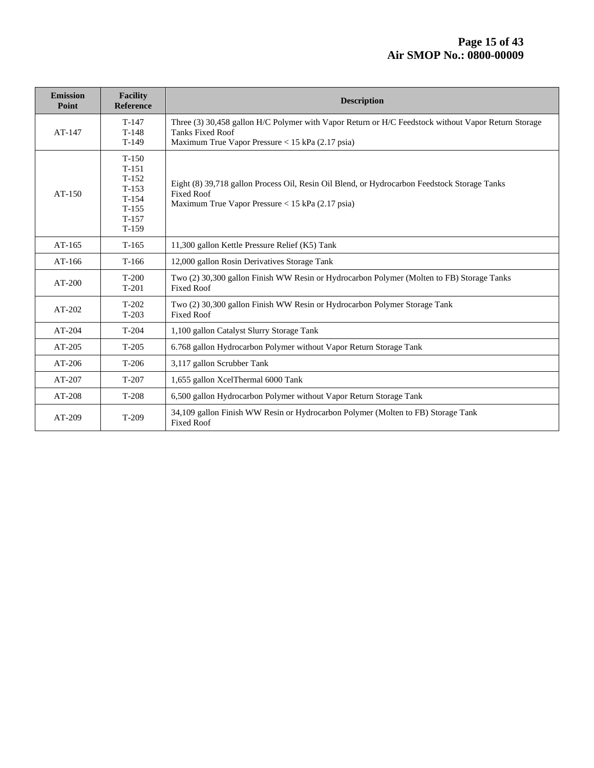| <b>Emission</b><br>Point | <b>Facility</b><br><b>Reference</b>                                                  | <b>Description</b>                                                                                                                                                                 |  |  |
|--------------------------|--------------------------------------------------------------------------------------|------------------------------------------------------------------------------------------------------------------------------------------------------------------------------------|--|--|
| $AT-147$                 | $T-147$<br>$T-148$<br>$T-149$                                                        | Three (3) 30,458 gallon H/C Polymer with Vapor Return or H/C Feedstock without Vapor Return Storage<br><b>Tanks Fixed Roof</b><br>Maximum True Vapor Pressure < 15 kPa (2.17 psia) |  |  |
| $AT-150$                 | $T-150$<br>$T-151$<br>$T-152$<br>$T-153$<br>$T-154$<br>$T-155$<br>$T-157$<br>$T-159$ | Eight (8) 39,718 gallon Process Oil, Resin Oil Blend, or Hydrocarbon Feedstock Storage Tanks<br><b>Fixed Roof</b><br>Maximum True Vapor Pressure < 15 kPa (2.17 psia)              |  |  |
| $AT-165$                 | $T-165$                                                                              | 11,300 gallon Kettle Pressure Relief (K5) Tank                                                                                                                                     |  |  |
| $AT-166$                 | $T-166$                                                                              | 12,000 gallon Rosin Derivatives Storage Tank                                                                                                                                       |  |  |
| $AT-200$                 | $T-200$<br>$T-201$                                                                   | Two (2) 30,300 gallon Finish WW Resin or Hydrocarbon Polymer (Molten to FB) Storage Tanks<br><b>Fixed Roof</b>                                                                     |  |  |
| $AT-202$                 | $T-202$<br>$T-203$                                                                   | Two (2) 30,300 gallon Finish WW Resin or Hydrocarbon Polymer Storage Tank<br><b>Fixed Roof</b>                                                                                     |  |  |
| $AT-204$                 | $T-204$                                                                              | 1,100 gallon Catalyst Slurry Storage Tank                                                                                                                                          |  |  |
| AT-205                   | $T-205$                                                                              | 6.768 gallon Hydrocarbon Polymer without Vapor Return Storage Tank                                                                                                                 |  |  |
| $AT-206$                 | $T-206$                                                                              | 3,117 gallon Scrubber Tank                                                                                                                                                         |  |  |
| AT-207                   | $T-207$                                                                              | 1,655 gallon XcelThermal 6000 Tank                                                                                                                                                 |  |  |
| AT-208                   | $T-208$                                                                              | 6,500 gallon Hydrocarbon Polymer without Vapor Return Storage Tank                                                                                                                 |  |  |
| $AT-209$                 | $T-209$                                                                              | 34,109 gallon Finish WW Resin or Hydrocarbon Polymer (Molten to FB) Storage Tank<br><b>Fixed Roof</b>                                                                              |  |  |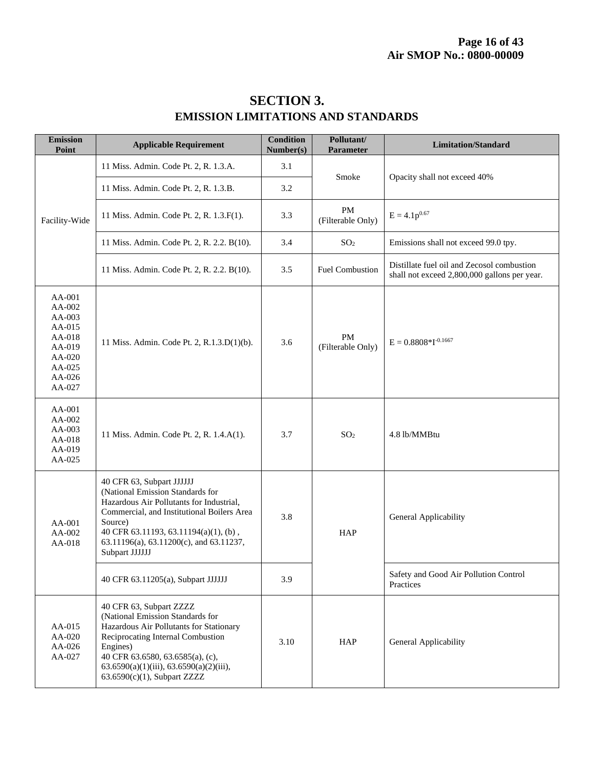| <b>SECTION 3.</b>                         |
|-------------------------------------------|
| <b>EMISSION LIMITATIONS AND STANDARDS</b> |

| <b>Emission</b><br>Point                                                                             | <b>Applicable Requirement</b>                                                                                                                                                                                                                                               | <b>Condition</b><br>Number(s) | Pollutant/<br>Parameter        | <b>Limitation/Standard</b>                                                                 |
|------------------------------------------------------------------------------------------------------|-----------------------------------------------------------------------------------------------------------------------------------------------------------------------------------------------------------------------------------------------------------------------------|-------------------------------|--------------------------------|--------------------------------------------------------------------------------------------|
|                                                                                                      | 11 Miss. Admin. Code Pt. 2, R. 1.3.A.                                                                                                                                                                                                                                       | 3.1                           | Smoke                          | Opacity shall not exceed 40%                                                               |
| Facility-Wide                                                                                        | 11 Miss. Admin. Code Pt. 2, R. 1.3.B.                                                                                                                                                                                                                                       | 3.2                           |                                |                                                                                            |
|                                                                                                      | 11 Miss. Admin. Code Pt. 2, R. 1.3.F(1).                                                                                                                                                                                                                                    | 3.3                           | <b>PM</b><br>(Filterable Only) | $E = 4.1p^{0.67}$                                                                          |
|                                                                                                      | 11 Miss. Admin. Code Pt. 2, R. 2.2. B(10).                                                                                                                                                                                                                                  | 3.4                           | SO <sub>2</sub>                | Emissions shall not exceed 99.0 tpy.                                                       |
|                                                                                                      | 11 Miss. Admin. Code Pt. 2, R. 2.2. B(10).                                                                                                                                                                                                                                  | 3.5                           | <b>Fuel Combustion</b>         | Distillate fuel oil and Zecosol combustion<br>shall not exceed 2,800,000 gallons per year. |
| AA-001<br>AA-002<br>$AA-003$<br>AA-015<br>AA-018<br>AA-019<br>$AA-020$<br>AA-025<br>AA-026<br>AA-027 | 11 Miss. Admin. Code Pt. 2, R.1.3.D(1)(b).                                                                                                                                                                                                                                  | 3.6                           | PM<br>(Filterable Only)        | $E = 0.8808 * I^{-0.1667}$                                                                 |
| AA-001<br>AA-002<br>AA-003<br>AA-018<br>AA-019<br>AA-025                                             | 11 Miss. Admin. Code Pt. 2, R. 1.4.A(1).                                                                                                                                                                                                                                    | 3.7                           | SO <sub>2</sub>                | 4.8 lb/MMBtu                                                                               |
| AA-001<br>AA-002<br>AA-018                                                                           | 40 CFR 63, Subpart JJJJJJ<br>(National Emission Standards for<br>Hazardous Air Pollutants for Industrial,<br>Commercial, and Institutional Boilers Area<br>Source)<br>40 CFR 63.11193, 63.11194(a)(1), (b),<br>63.11196(a), 63.11200(c), and 63.11237,<br>Subpart JJJJJJ    | 3.8                           | <b>HAP</b>                     | General Applicability                                                                      |
|                                                                                                      | 40 CFR 63.11205(a), Subpart JJJJJJ                                                                                                                                                                                                                                          | 3.9                           |                                | Safety and Good Air Pollution Control<br>Practices                                         |
| AA-015<br>AA-020<br>AA-026<br>AA-027                                                                 | 40 CFR 63, Subpart ZZZZ<br>(National Emission Standards for<br>Hazardous Air Pollutants for Stationary<br>Reciprocating Internal Combustion<br>Engines)<br>40 CFR 63.6580, 63.6585(a), (c),<br>$63.6590(a)(1)(iii)$ , $63.6590(a)(2)(iii)$ ,<br>63.6590(c)(1), Subpart ZZZZ | 3.10                          | <b>HAP</b>                     | General Applicability                                                                      |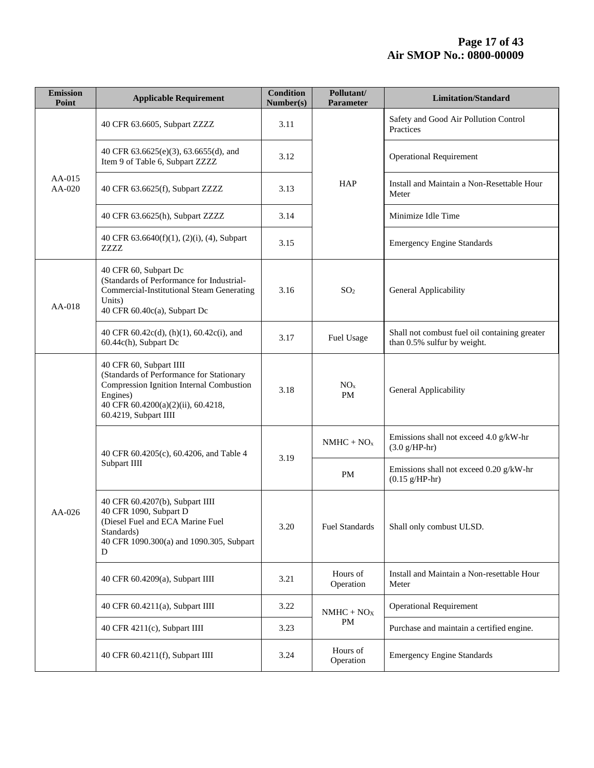| <b>Emission</b><br>Point | <b>Applicable Requirement</b>                                                                                                                                                              | <b>Condition</b><br>Number(s) | Pollutant/<br>Parameter      | <b>Limitation/Standard</b>                                                   |
|--------------------------|--------------------------------------------------------------------------------------------------------------------------------------------------------------------------------------------|-------------------------------|------------------------------|------------------------------------------------------------------------------|
|                          | 40 CFR 63.6605, Subpart ZZZZ                                                                                                                                                               | 3.11                          |                              | Safety and Good Air Pollution Control<br>Practices                           |
| AA-015<br>AA-020         | 40 CFR 63.6625(e)(3), 63.6655(d), and<br>Item 9 of Table 6, Subpart ZZZZ                                                                                                                   | 3.12                          |                              | <b>Operational Requirement</b>                                               |
|                          | 40 CFR 63.6625(f), Subpart ZZZZ                                                                                                                                                            | <b>HAP</b><br>3.13            |                              | Install and Maintain a Non-Resettable Hour<br>Meter                          |
|                          | 40 CFR 63.6625(h), Subpart ZZZZ                                                                                                                                                            | 3.14                          |                              | Minimize Idle Time                                                           |
|                          | 40 CFR 63.6640(f)(1), (2)(i), (4), Subpart<br>ZZZZ                                                                                                                                         | 3.15                          |                              | <b>Emergency Engine Standards</b>                                            |
| AA-018                   | 40 CFR 60, Subpart Dc<br>(Standards of Performance for Industrial-<br><b>Commercial-Institutional Steam Generating</b><br>Units)<br>40 CFR 60.40c(a), Subpart Dc                           | 3.16                          | SO <sub>2</sub>              | General Applicability                                                        |
|                          | 40 CFR 60.42c(d), (h)(1), 60.42c(i), and<br>60.44c(h), Subpart Dc                                                                                                                          | 3.17                          | Fuel Usage                   | Shall not combust fuel oil containing greater<br>than 0.5% sulfur by weight. |
|                          | 40 CFR 60, Subpart IIII<br>(Standards of Performance for Stationary<br>Compression Ignition Internal Combustion<br>Engines)<br>40 CFR 60.4200(a)(2)(ii), 60.4218,<br>60.4219, Subpart IIII | 3.18                          | NO <sub>x</sub><br><b>PM</b> | General Applicability                                                        |
|                          | 40 CFR 60.4205(c), 60.4206, and Table 4                                                                                                                                                    | 3.19                          | $NMHC + NOx$                 | Emissions shall not exceed 4.0 g/kW-hr<br>$(3.0 g/HP-hr)$                    |
|                          | Subpart IIII                                                                                                                                                                               |                               | <b>PM</b>                    | Emissions shall not exceed 0.20 g/kW-hr<br>$(0.15 g/HP-hr)$                  |
| AA-026                   | 40 CFR 60.4207(b), Subpart IIII<br>40 CFR 1090, Subpart D<br>(Diesel Fuel and ECA Marine Fuel<br>Standards)<br>40 CFR 1090.300(a) and 1090.305, Subpart<br>D                               | 3.20                          | Fuel Standards               | Shall only combust ULSD.                                                     |
|                          | 40 CFR 60.4209(a), Subpart IIII                                                                                                                                                            | 3.21                          | Hours of<br>Operation        | Install and Maintain a Non-resettable Hour<br>Meter                          |
|                          | 40 CFR 60.4211(a), Subpart IIII                                                                                                                                                            | 3.22                          | $NMHC + NOX$                 | <b>Operational Requirement</b>                                               |
|                          | 40 CFR 4211(c), Subpart IIII                                                                                                                                                               | 3.23                          | PM                           | Purchase and maintain a certified engine.                                    |
|                          | 40 CFR 60.4211(f), Subpart IIII                                                                                                                                                            | 3.24                          | Hours of<br>Operation        | <b>Emergency Engine Standards</b>                                            |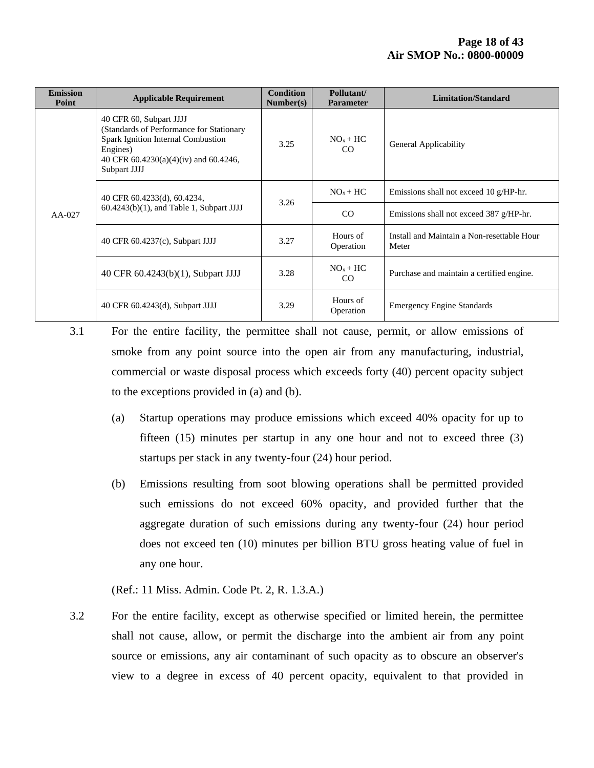| <b>Emission</b><br>Point | <b>Applicable Requirement</b>                                                                                                                                                  | <b>Condition</b><br>Number(s) | Pollutant/<br><b>Parameter</b> | <b>Limitation/Standard</b>                          |
|--------------------------|--------------------------------------------------------------------------------------------------------------------------------------------------------------------------------|-------------------------------|--------------------------------|-----------------------------------------------------|
| $AA-027$                 | 40 CFR 60, Subpart JJJJ<br>(Standards of Performance for Stationary<br>Spark Ignition Internal Combustion<br>Engines)<br>40 CFR 60.4230(a)(4)(iv) and 60.4246,<br>Subpart JJJJ | 3.25                          | $NOx + HC$<br><sub>CO</sub>    | General Applicability                               |
|                          | 40 CFR 60.4233(d), 60.4234,                                                                                                                                                    | 3.26                          | $NOx + HC$                     | Emissions shall not exceed 10 g/HP-hr.              |
|                          | $60.4243(b)(1)$ , and Table 1, Subpart JJJJ                                                                                                                                    |                               | CO                             | Emissions shall not exceed 387 g/HP-hr.             |
|                          | 40 CFR 60.4237(c), Subpart JJJJ                                                                                                                                                | 3.27                          | Hours of<br>Operation          | Install and Maintain a Non-resettable Hour<br>Meter |
|                          | 40 CFR 60.4243(b)(1), Subpart JJJJ                                                                                                                                             | 3.28                          | $NOx + HC$<br>CO               | Purchase and maintain a certified engine.           |
|                          | 40 CFR 60.4243(d), Subpart JJJJ                                                                                                                                                | 3.29                          | Hours of<br>Operation          | <b>Emergency Engine Standards</b>                   |

3.1 For the entire facility, the permittee shall not cause, permit, or allow emissions of smoke from any point source into the open air from any manufacturing, industrial, commercial or waste disposal process which exceeds forty (40) percent opacity subject to the exceptions provided in (a) and (b).

- (a) Startup operations may produce emissions which exceed 40% opacity for up to fifteen (15) minutes per startup in any one hour and not to exceed three (3) startups per stack in any twenty-four (24) hour period.
- (b) Emissions resulting from soot blowing operations shall be permitted provided such emissions do not exceed 60% opacity, and provided further that the aggregate duration of such emissions during any twenty-four (24) hour period does not exceed ten (10) minutes per billion BTU gross heating value of fuel in any one hour.

(Ref.: 11 Miss. Admin. Code Pt. 2, R. 1.3.A.)

3.2 For the entire facility, except as otherwise specified or limited herein, the permittee shall not cause, allow, or permit the discharge into the ambient air from any point source or emissions, any air contaminant of such opacity as to obscure an observer's view to a degree in excess of 40 percent opacity, equivalent to that provided in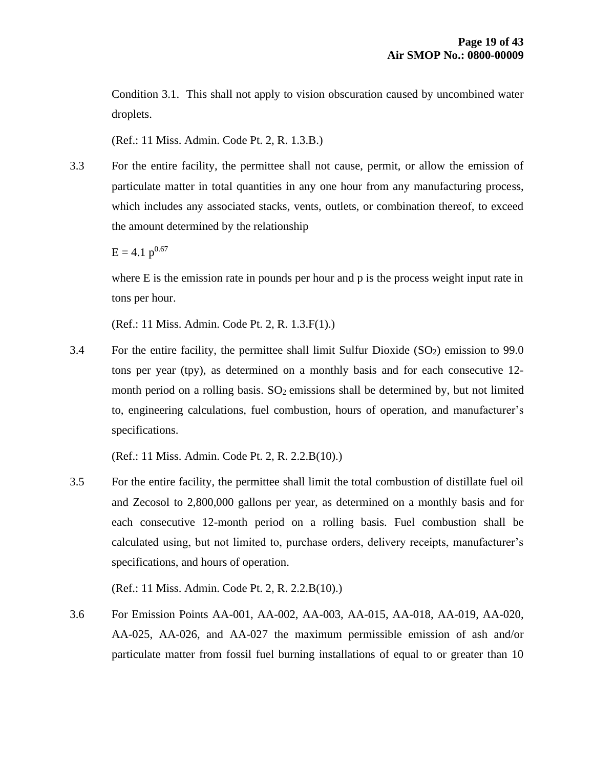Condition 3.1. This shall not apply to vision obscuration caused by uncombined water droplets.

(Ref.: 11 Miss. Admin. Code Pt. 2, R. 1.3.B.)

3.3 For the entire facility, the permittee shall not cause, permit, or allow the emission of particulate matter in total quantities in any one hour from any manufacturing process, which includes any associated stacks, vents, outlets, or combination thereof, to exceed the amount determined by the relationship

 $E = 4.1$  p<sup>0.67</sup>

where E is the emission rate in pounds per hour and p is the process weight input rate in tons per hour.

(Ref.: 11 Miss. Admin. Code Pt. 2, R. 1.3.F(1).)

3.4 For the entire facility, the permittee shall limit Sulfur Dioxide  $(SO<sub>2</sub>)$  emission to 99.0 tons per year (tpy), as determined on a monthly basis and for each consecutive 12 month period on a rolling basis.  $SO_2$  emissions shall be determined by, but not limited to, engineering calculations, fuel combustion, hours of operation, and manufacturer's specifications.

(Ref.: 11 Miss. Admin. Code Pt. 2, R. 2.2.B(10).)

3.5 For the entire facility, the permittee shall limit the total combustion of distillate fuel oil and Zecosol to 2,800,000 gallons per year, as determined on a monthly basis and for each consecutive 12-month period on a rolling basis. Fuel combustion shall be calculated using, but not limited to, purchase orders, delivery receipts, manufacturer's specifications, and hours of operation.

(Ref.: 11 Miss. Admin. Code Pt. 2, R. 2.2.B(10).)

3.6 For Emission Points AA-001, AA-002, AA-003, AA-015, AA-018, AA-019, AA-020, AA-025, AA-026, and AA-027 the maximum permissible emission of ash and/or particulate matter from fossil fuel burning installations of equal to or greater than 10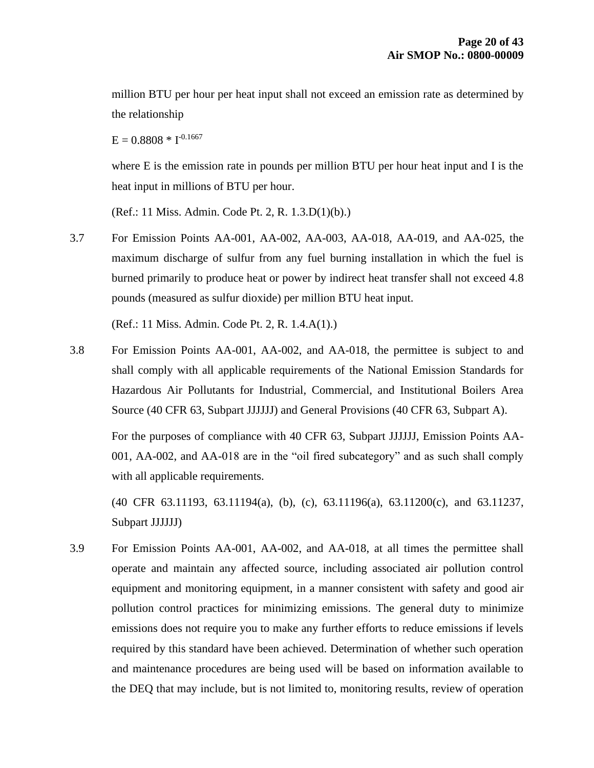million BTU per hour per heat input shall not exceed an emission rate as determined by the relationship

 $E = 0.8808 * I^{-0.1667}$ 

where E is the emission rate in pounds per million BTU per hour heat input and I is the heat input in millions of BTU per hour.

(Ref.: 11 Miss. Admin. Code Pt. 2, R. 1.3.D(1)(b).)

3.7 For Emission Points AA-001, AA-002, AA-003, AA-018, AA-019, and AA-025, the maximum discharge of sulfur from any fuel burning installation in which the fuel is burned primarily to produce heat or power by indirect heat transfer shall not exceed 4.8 pounds (measured as sulfur dioxide) per million BTU heat input.

(Ref.: 11 Miss. Admin. Code Pt. 2, R. 1.4.A(1).)

3.8 For Emission Points AA-001, AA-002, and AA-018, the permittee is subject to and shall comply with all applicable requirements of the National Emission Standards for Hazardous Air Pollutants for Industrial, Commercial, and Institutional Boilers Area Source (40 CFR 63, Subpart JJJJJJ) and General Provisions (40 CFR 63, Subpart A).

For the purposes of compliance with 40 CFR 63, Subpart JJJJJJ, Emission Points AA-001, AA-002, and AA-018 are in the "oil fired subcategory" and as such shall comply with all applicable requirements.

(40 CFR 63.11193, 63.11194(a), (b), (c), 63.11196(a), 63.11200(c), and 63.11237, Subpart JJJJJJ)

3.9 For Emission Points AA-001, AA-002, and AA-018, at all times the permittee shall operate and maintain any affected source, including associated air pollution control equipment and monitoring equipment, in a manner consistent with safety and good air pollution control practices for minimizing emissions. The general duty to minimize emissions does not require you to make any further efforts to reduce emissions if levels required by this standard have been achieved. Determination of whether such operation and maintenance procedures are being used will be based on information available to the DEQ that may include, but is not limited to, monitoring results, review of operation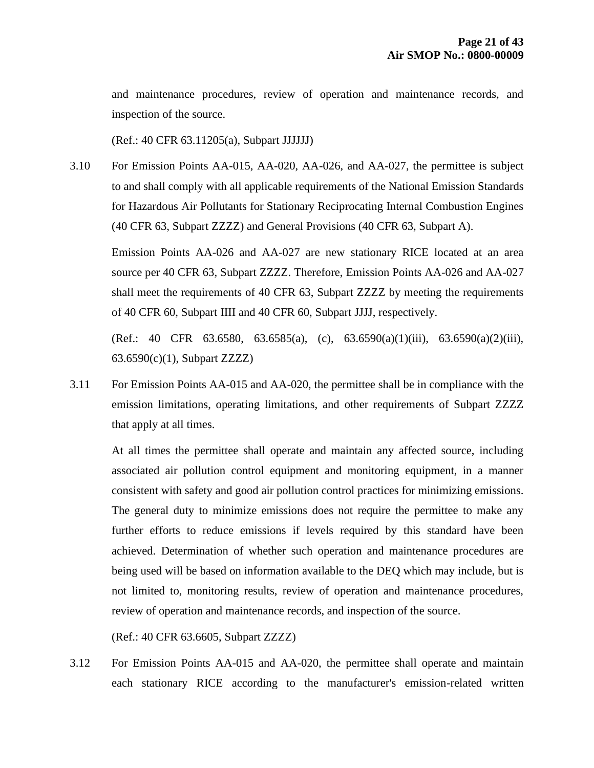and maintenance procedures, review of operation and maintenance records, and inspection of the source.

(Ref.: 40 CFR 63.11205(a), Subpart JJJJJJ)

3.10 For Emission Points AA-015, AA-020, AA-026, and AA-027, the permittee is subject to and shall comply with all applicable requirements of the National Emission Standards for Hazardous Air Pollutants for Stationary Reciprocating Internal Combustion Engines (40 CFR 63, Subpart ZZZZ) and General Provisions (40 CFR 63, Subpart A).

Emission Points AA-026 and AA-027 are new stationary RICE located at an area source per 40 CFR 63, Subpart ZZZZ. Therefore, Emission Points AA-026 and AA-027 shall meet the requirements of 40 CFR 63, Subpart ZZZZ by meeting the requirements of 40 CFR 60, Subpart IIII and 40 CFR 60, Subpart JJJJ, respectively.

(Ref.: 40 CFR 63.6580, 63.6585(a), (c), 63.6590(a)(1)(iii), 63.6590(a)(2)(iii), 63.6590(c)(1), Subpart ZZZZ)

3.11 For Emission Points AA-015 and AA-020, the permittee shall be in compliance with the emission limitations, operating limitations, and other requirements of Subpart ZZZZ that apply at all times.

At all times the permittee shall operate and maintain any affected source, including associated air pollution control equipment and monitoring equipment, in a manner consistent with safety and good air pollution control practices for minimizing emissions. The general duty to minimize emissions does not require the permittee to make any further efforts to reduce emissions if levels required by this standard have been achieved. Determination of whether such operation and maintenance procedures are being used will be based on information available to the DEQ which may include, but is not limited to, monitoring results, review of operation and maintenance procedures, review of operation and maintenance records, and inspection of the source.

(Ref.: 40 CFR 63.6605, Subpart ZZZZ)

3.12 For Emission Points AA-015 and AA-020, the permittee shall operate and maintain each stationary RICE according to the manufacturer's emission-related written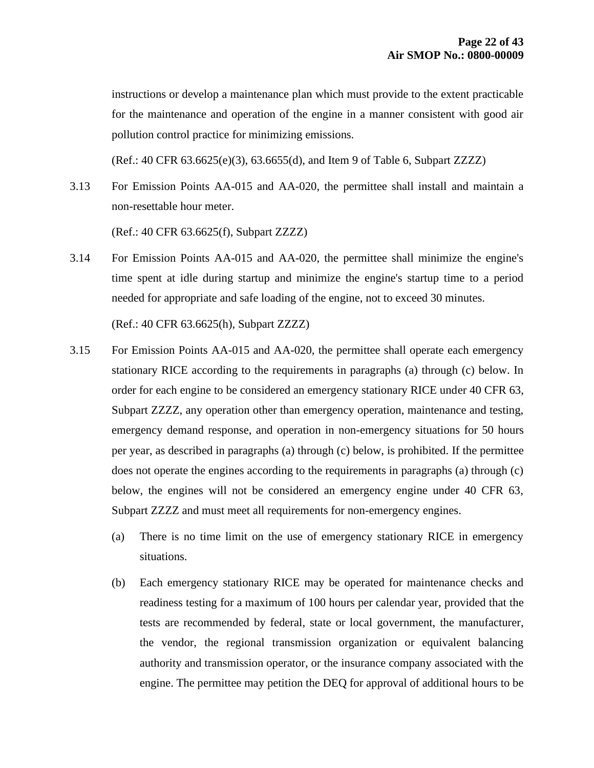instructions or develop a maintenance plan which must provide to the extent practicable for the maintenance and operation of the engine in a manner consistent with good air pollution control practice for minimizing emissions.

(Ref.: 40 CFR 63.6625(e)(3), 63.6655(d), and Item 9 of Table 6, Subpart ZZZZ)

3.13 For Emission Points AA-015 and AA-020, the permittee shall install and maintain a non-resettable hour meter.

(Ref.: 40 CFR 63.6625(f), Subpart ZZZZ)

3.14 For Emission Points AA-015 and AA-020, the permittee shall minimize the engine's time spent at idle during startup and minimize the engine's startup time to a period needed for appropriate and safe loading of the engine, not to exceed 30 minutes.

(Ref.: 40 CFR 63.6625(h), Subpart ZZZZ)

- 3.15 For Emission Points AA-015 and AA-020, the permittee shall operate each emergency stationary RICE according to the requirements in paragraphs (a) through (c) below. In order for each engine to be considered an emergency stationary RICE under 40 CFR 63, Subpart ZZZZ, any operation other than emergency operation, maintenance and testing, emergency demand response, and operation in non-emergency situations for 50 hours per year, as described in paragraphs (a) through (c) below, is prohibited. If the permittee does not operate the engines according to the requirements in paragraphs (a) through (c) below, the engines will not be considered an emergency engine under 40 CFR 63, Subpart ZZZZ and must meet all requirements for non-emergency engines.
	- (a) There is no time limit on the use of emergency stationary RICE in emergency situations.
	- (b) Each emergency stationary RICE may be operated for maintenance checks and readiness testing for a maximum of 100 hours per calendar year, provided that the tests are recommended by federal, state or local government, the manufacturer, the vendor, the regional transmission organization or equivalent balancing authority and transmission operator, or the insurance company associated with the engine. The permittee may petition the DEQ for approval of additional hours to be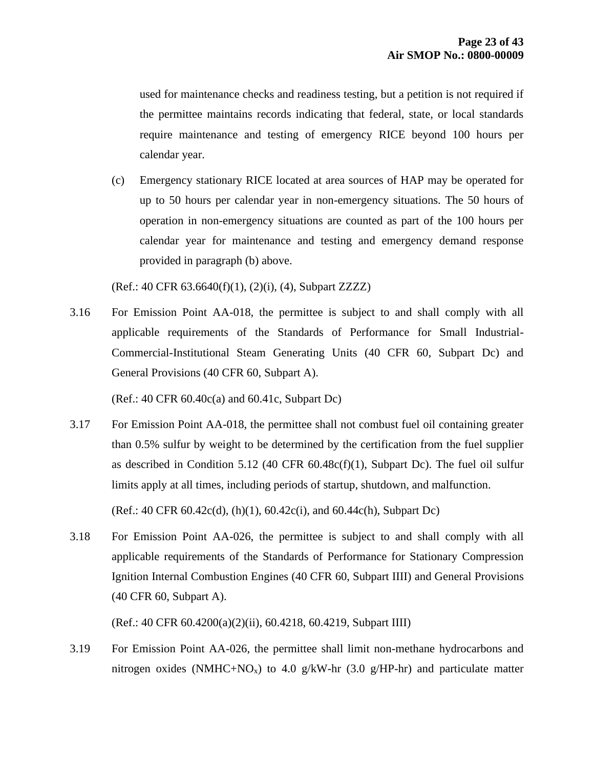used for maintenance checks and readiness testing, but a petition is not required if the permittee maintains records indicating that federal, state, or local standards require maintenance and testing of emergency RICE beyond 100 hours per calendar year.

(c) Emergency stationary RICE located at area sources of HAP may be operated for up to 50 hours per calendar year in non-emergency situations. The 50 hours of operation in non-emergency situations are counted as part of the 100 hours per calendar year for maintenance and testing and emergency demand response provided in paragraph (b) above.

(Ref.: 40 CFR 63.6640(f)(1), (2)(i), (4), Subpart ZZZZ)

3.16 For Emission Point AA-018, the permittee is subject to and shall comply with all applicable requirements of the Standards of Performance for Small Industrial-Commercial-Institutional Steam Generating Units (40 CFR 60, Subpart Dc) and General Provisions (40 CFR 60, Subpart A).

(Ref.: 40 CFR 60.40c(a) and 60.41c, Subpart Dc)

3.17 For Emission Point AA-018, the permittee shall not combust fuel oil containing greater than 0.5% sulfur by weight to be determined by the certification from the fuel supplier as described in Condition 5.12 (40 CFR 60.48c(f)(1), Subpart Dc). The fuel oil sulfur limits apply at all times, including periods of startup, shutdown, and malfunction.

(Ref.: 40 CFR 60.42c(d), (h)(1), 60.42c(i), and 60.44c(h), Subpart Dc)

3.18 For Emission Point AA-026, the permittee is subject to and shall comply with all applicable requirements of the Standards of Performance for Stationary Compression Ignition Internal Combustion Engines (40 CFR 60, Subpart IIII) and General Provisions (40 CFR 60, Subpart A).

(Ref.: 40 CFR 60.4200(a)(2)(ii), 60.4218, 60.4219, Subpart IIII)

3.19 For Emission Point AA-026, the permittee shall limit non-methane hydrocarbons and nitrogen oxides (NMHC+NO<sub>x</sub>) to 4.0 g/kW-hr (3.0 g/HP-hr) and particulate matter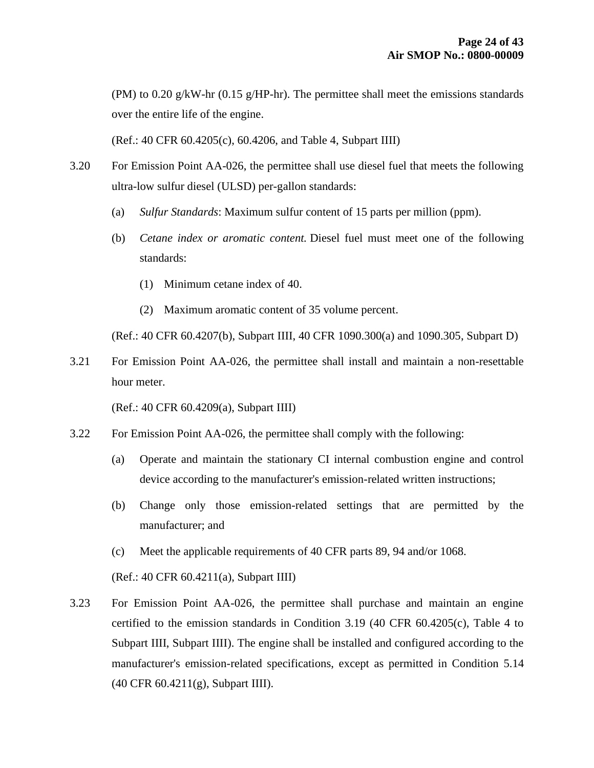(PM) to 0.20 g/kW-hr (0.15 g/HP-hr). The permittee shall meet the emissions standards over the entire life of the engine.

(Ref.: 40 CFR 60.4205(c), 60.4206, and Table 4, Subpart IIII)

- 3.20 For Emission Point AA-026, the permittee shall use diesel fuel that meets the following ultra-low sulfur diesel (ULSD) per-gallon standards:
	- (a) *Sulfur Standards*: Maximum sulfur content of 15 parts per million (ppm).
	- (b) *Cetane index or aromatic content.* Diesel fuel must meet one of the following standards:
		- (1) Minimum cetane index of 40.
		- (2) Maximum aromatic content of 35 volume percent.

(Ref.: 40 CFR 60.4207(b), Subpart IIII, 40 CFR 1090.300(a) and 1090.305, Subpart D)

3.21 For Emission Point AA-026, the permittee shall install and maintain a non-resettable hour meter.

(Ref.: 40 CFR 60.4209(a), Subpart IIII)

- 3.22 For Emission Point AA-026, the permittee shall comply with the following:
	- (a) Operate and maintain the stationary CI internal combustion engine and control device according to the manufacturer's emission-related written instructions;
	- (b) Change only those emission-related settings that are permitted by the manufacturer; and
	- (c) Meet the applicable requirements of 40 CFR parts 89, 94 and/or 1068.

(Ref.: 40 CFR 60.4211(a), Subpart IIII)

3.23 For Emission Point AA-026, the permittee shall purchase and maintain an engine certified to the emission standards in Condition 3.19 (40 CFR 60.4205(c), Table 4 to Subpart IIII, Subpart IIII). The engine shall be installed and configured according to the manufacturer's emission-related specifications, except as permitted in Condition 5.14 (40 CFR 60.4211(g), Subpart IIII).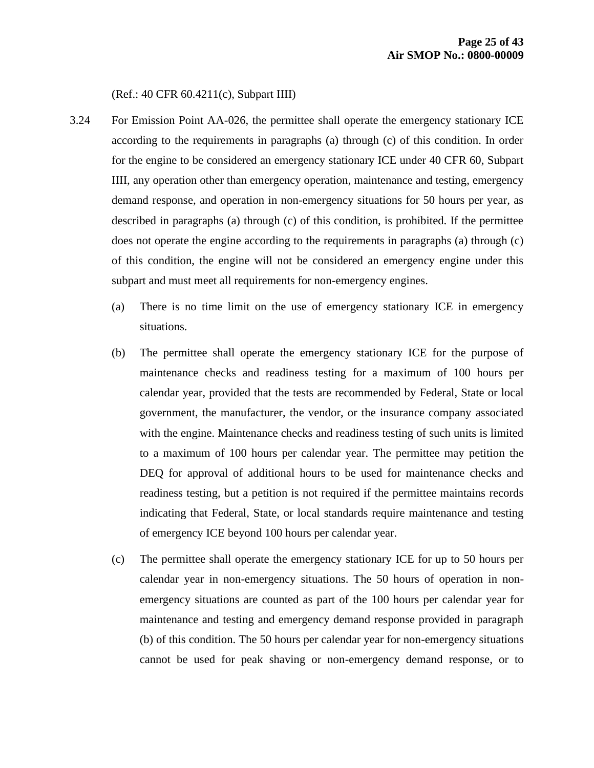(Ref.: 40 CFR 60.4211(c), Subpart IIII)

- 3.24 For Emission Point AA-026, the permittee shall operate the emergency stationary ICE according to the requirements in paragraphs (a) through (c) of this condition. In order for the engine to be considered an emergency stationary ICE under 40 CFR 60, Subpart IIII, any operation other than emergency operation, maintenance and testing, emergency demand response, and operation in non-emergency situations for 50 hours per year, as described in paragraphs (a) through (c) of this condition, is prohibited. If the permittee does not operate the engine according to the requirements in paragraphs (a) through (c) of this condition, the engine will not be considered an emergency engine under this subpart and must meet all requirements for non-emergency engines.
	- (a) There is no time limit on the use of emergency stationary ICE in emergency situations.
	- (b) The permittee shall operate the emergency stationary ICE for the purpose of maintenance checks and readiness testing for a maximum of 100 hours per calendar year, provided that the tests are recommended by Federal, State or local government, the manufacturer, the vendor, or the insurance company associated with the engine. Maintenance checks and readiness testing of such units is limited to a maximum of 100 hours per calendar year. The permittee may petition the DEQ for approval of additional hours to be used for maintenance checks and readiness testing, but a petition is not required if the permittee maintains records indicating that Federal, State, or local standards require maintenance and testing of emergency ICE beyond 100 hours per calendar year.
	- (c) The permittee shall operate the emergency stationary ICE for up to 50 hours per calendar year in non-emergency situations. The 50 hours of operation in nonemergency situations are counted as part of the 100 hours per calendar year for maintenance and testing and emergency demand response provided in paragraph (b) of this condition. The 50 hours per calendar year for non-emergency situations cannot be used for peak shaving or non-emergency demand response, or to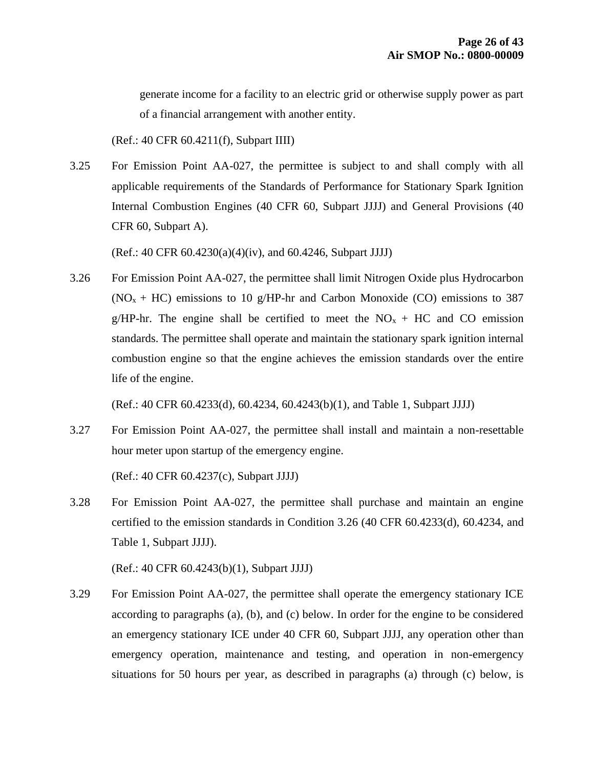generate income for a facility to an electric grid or otherwise supply power as part of a financial arrangement with another entity.

(Ref.: 40 CFR 60.4211(f), Subpart IIII)

3.25 For Emission Point AA-027, the permittee is subject to and shall comply with all applicable requirements of the Standards of Performance for Stationary Spark Ignition Internal Combustion Engines (40 CFR 60, Subpart JJJJ) and General Provisions (40 CFR 60, Subpart A).

(Ref.: 40 CFR 60.4230(a)(4)(iv), and 60.4246, Subpart JJJJ)

3.26 For Emission Point AA-027, the permittee shall limit Nitrogen Oxide plus Hydrocarbon  $(NO<sub>x</sub> + HC)$  emissions to 10 g/HP-hr and Carbon Monoxide (CO) emissions to 387 g/HP-hr. The engine shall be certified to meet the  $NO<sub>x</sub> + HC$  and CO emission standards. The permittee shall operate and maintain the stationary spark ignition internal combustion engine so that the engine achieves the emission standards over the entire life of the engine.

(Ref.: 40 CFR 60.4233(d), 60.4234, 60.4243(b)(1), and Table 1, Subpart JJJJ)

3.27 For Emission Point AA-027, the permittee shall install and maintain a non-resettable hour meter upon startup of the emergency engine.

(Ref.: 40 CFR 60.4237(c), Subpart JJJJ)

3.28 For Emission Point AA-027, the permittee shall purchase and maintain an engine certified to the emission standards in Condition 3.26 (40 CFR 60.4233(d), 60.4234, and Table 1, Subpart JJJJ).

(Ref.: 40 CFR 60.4243(b)(1), Subpart JJJJ)

3.29 For Emission Point AA-027, the permittee shall operate the emergency stationary ICE according to paragraphs (a), (b), and (c) below. In order for the engine to be considered an emergency stationary ICE under 40 CFR 60, Subpart JJJJ, any operation other than emergency operation, maintenance and testing, and operation in non-emergency situations for 50 hours per year, as described in paragraphs (a) through (c) below, is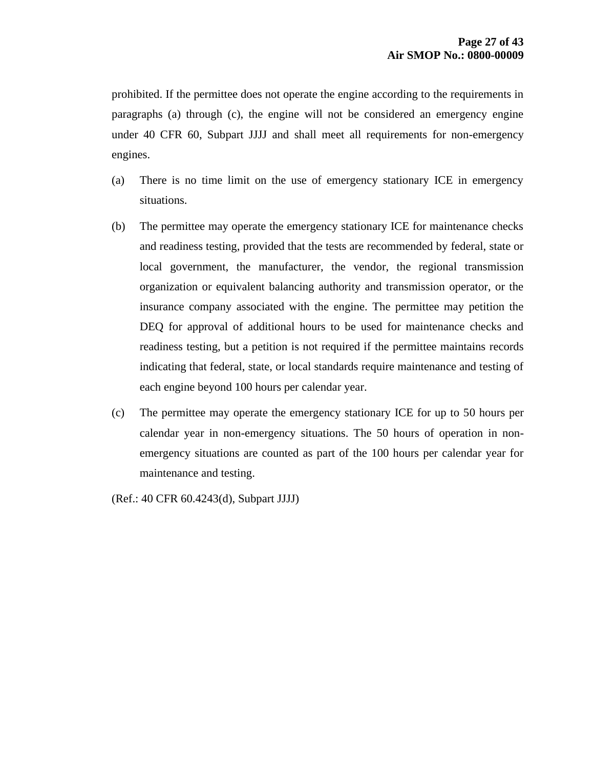prohibited. If the permittee does not operate the engine according to the requirements in paragraphs (a) through (c), the engine will not be considered an emergency engine under 40 CFR 60, Subpart JJJJ and shall meet all requirements for non-emergency engines.

- (a) There is no time limit on the use of emergency stationary ICE in emergency situations.
- (b) The permittee may operate the emergency stationary ICE for maintenance checks and readiness testing, provided that the tests are recommended by federal, state or local government, the manufacturer, the vendor, the regional transmission organization or equivalent balancing authority and transmission operator, or the insurance company associated with the engine. The permittee may petition the DEQ for approval of additional hours to be used for maintenance checks and readiness testing, but a petition is not required if the permittee maintains records indicating that federal, state, or local standards require maintenance and testing of each engine beyond 100 hours per calendar year.
- (c) The permittee may operate the emergency stationary ICE for up to 50 hours per calendar year in non-emergency situations. The 50 hours of operation in nonemergency situations are counted as part of the 100 hours per calendar year for maintenance and testing.

(Ref.: 40 CFR 60.4243(d), Subpart JJJJ)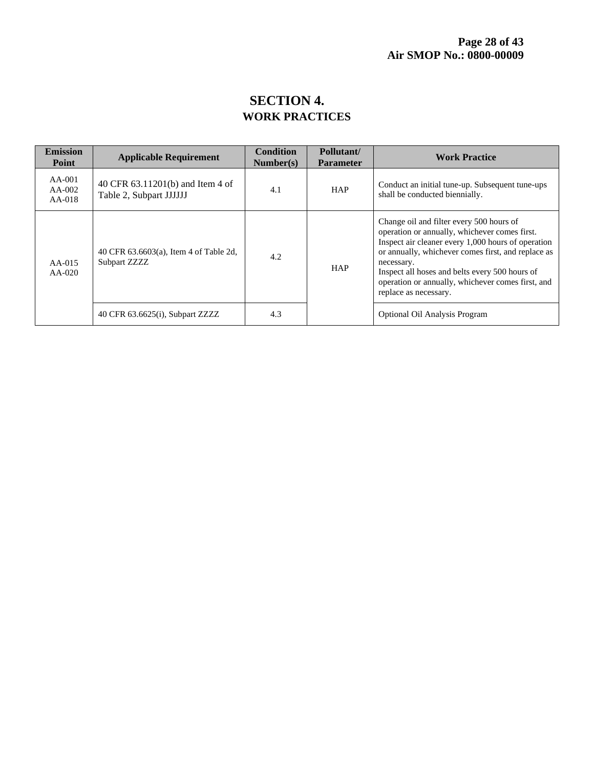## **SECTION 4. WORK PRACTICES**

| <b>Emission</b><br>Point         | <b>Applicable Requirement</b>                               | <b>Condition</b><br>Number(s) | Pollutant/<br><b>Parameter</b> | <b>Work Practice</b>                                                                                                                                                                                                                                                                                                                                |
|----------------------------------|-------------------------------------------------------------|-------------------------------|--------------------------------|-----------------------------------------------------------------------------------------------------------------------------------------------------------------------------------------------------------------------------------------------------------------------------------------------------------------------------------------------------|
| $AA-001$<br>$AA-002$<br>$AA-018$ | 40 CFR 63.11201(b) and Item 4 of<br>Table 2, Subpart JJJJJJ | 4.1                           | <b>HAP</b>                     | Conduct an initial tune-up. Subsequent tune-ups<br>shall be conducted biennially.                                                                                                                                                                                                                                                                   |
| AA-015<br>$AA-020$               | 40 CFR 63.6603(a), Item 4 of Table 2d,<br>Subpart ZZZZ      | 4.2                           | <b>HAP</b>                     | Change oil and filter every 500 hours of<br>operation or annually, whichever comes first.<br>Inspect air cleaner every 1,000 hours of operation<br>or annually, whichever comes first, and replace as<br>necessary.<br>Inspect all hoses and belts every 500 hours of<br>operation or annually, whichever comes first, and<br>replace as necessary. |
|                                  | 40 CFR 63.6625(i), Subpart ZZZZ                             | 4.3                           |                                | Optional Oil Analysis Program                                                                                                                                                                                                                                                                                                                       |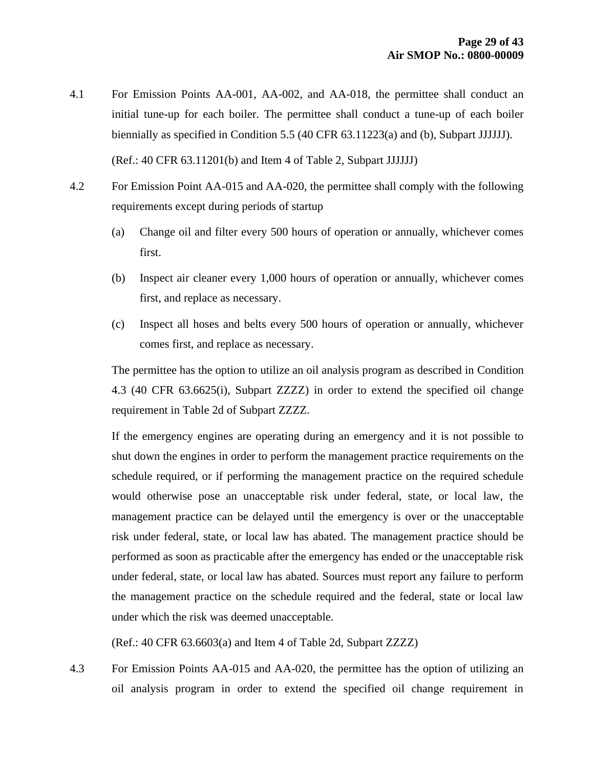- 4.1 For Emission Points AA-001, AA-002, and AA-018, the permittee shall conduct an initial tune-up for each boiler. The permittee shall conduct a tune-up of each boiler biennially as specified in Condition 5.5 (40 CFR 63.11223(a) and (b), Subpart JJJJJJ). (Ref.: 40 CFR 63.11201(b) and Item 4 of Table 2, Subpart JJJJJJ)
- 4.2 For Emission Point AA-015 and AA-020, the permittee shall comply with the following requirements except during periods of startup
	- (a) Change oil and filter every 500 hours of operation or annually, whichever comes first.
	- (b) Inspect air cleaner every 1,000 hours of operation or annually, whichever comes first, and replace as necessary.
	- (c) Inspect all hoses and belts every 500 hours of operation or annually, whichever comes first, and replace as necessary.

The permittee has the option to utilize an oil analysis program as described in Condition 4.3 (40 CFR 63.6625(i), Subpart ZZZZ) in order to extend the specified oil change requirement in Table 2d of Subpart ZZZZ.

If the emergency engines are operating during an emergency and it is not possible to shut down the engines in order to perform the management practice requirements on the schedule required, or if performing the management practice on the required schedule would otherwise pose an unacceptable risk under federal, state, or local law, the management practice can be delayed until the emergency is over or the unacceptable risk under federal, state, or local law has abated. The management practice should be performed as soon as practicable after the emergency has ended or the unacceptable risk under federal, state, or local law has abated. Sources must report any failure to perform the management practice on the schedule required and the federal, state or local law under which the risk was deemed unacceptable.

(Ref.: 40 CFR 63.6603(a) and Item 4 of Table 2d, Subpart ZZZZ)

4.3 For Emission Points AA-015 and AA-020, the permittee has the option of utilizing an oil analysis program in order to extend the specified oil change requirement in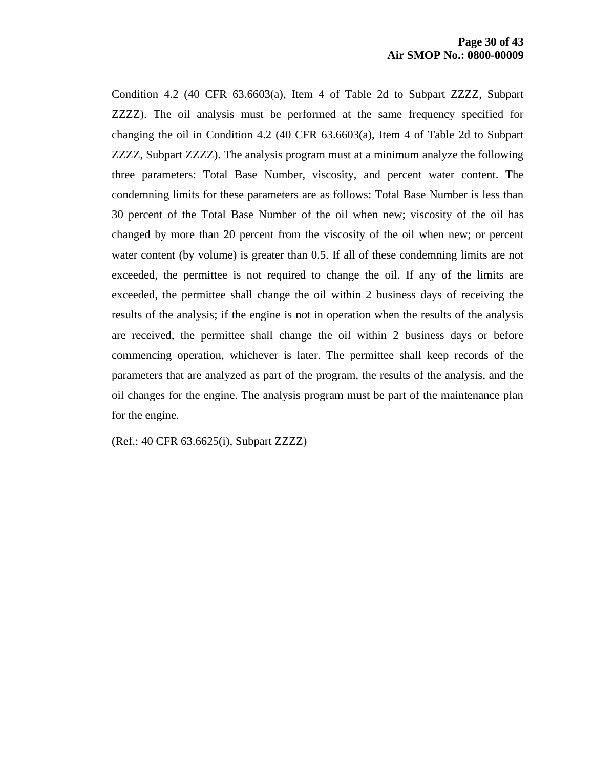Condition 4.2 (40 CFR 63.6603(a), Item 4 of Table 2d to Subpart ZZZZ, Subpart ZZZZ). The oil analysis must be performed at the same frequency specified for changing the oil in Condition 4.2 (40 CFR 63.6603(a), Item 4 of Table 2d to Subpart ZZZZ, Subpart ZZZZ). The analysis program must at a minimum analyze the following three parameters: Total Base Number, viscosity, and percent water content. The condemning limits for these parameters are as follows: Total Base Number is less than 30 percent of the Total Base Number of the oil when new; viscosity of the oil has changed by more than 20 percent from the viscosity of the oil when new; or percent water content (by volume) is greater than 0.5. If all of these condemning limits are not exceeded, the permittee is not required to change the oil. If any of the limits are exceeded, the permittee shall change the oil within 2 business days of receiving the results of the analysis; if the engine is not in operation when the results of the analysis are received, the permittee shall change the oil within 2 business days or before commencing operation, whichever is later. The permittee shall keep records of the parameters that are analyzed as part of the program, the results of the analysis, and the oil changes for the engine. The analysis program must be part of the maintenance plan for the engine.

(Ref.: 40 CFR 63.6625(i), Subpart ZZZZ)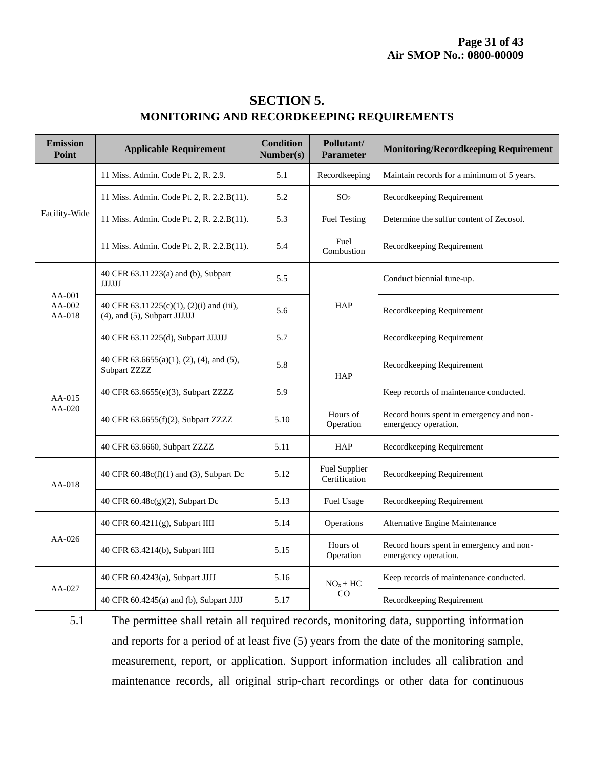| <b>Emission</b><br>Point       | <b>Applicable Requirement</b>                                            | <b>Condition</b><br>Number(s) | Pollutant/<br><b>Parameter</b>        | <b>Monitoring/Recordkeeping Requirement</b>                      |
|--------------------------------|--------------------------------------------------------------------------|-------------------------------|---------------------------------------|------------------------------------------------------------------|
| Facility-Wide                  | 11 Miss. Admin. Code Pt. 2, R. 2.9.                                      | 5.1                           | Recordkeeping                         | Maintain records for a minimum of 5 years.                       |
|                                | 11 Miss. Admin. Code Pt. 2, R. 2.2.B(11).                                | 5.2                           | SO <sub>2</sub>                       | Recordkeeping Requirement                                        |
|                                | 11 Miss. Admin. Code Pt. 2, R. 2.2.B(11).                                | 5.3                           | <b>Fuel Testing</b>                   | Determine the sulfur content of Zecosol.                         |
|                                | 11 Miss. Admin. Code Pt. 2, R. 2.2.B(11).                                | 5.4                           | Fuel<br>Combustion                    | Recordkeeping Requirement                                        |
| $AA-001$<br>$AA-002$<br>AA-018 | 40 CFR 63.11223(a) and (b), Subpart<br>JJJJJJ                            | 5.5                           | HAP                                   | Conduct biennial tune-up.                                        |
|                                | 40 CFR 63.11225(c)(1), (2)(i) and (iii),<br>(4), and (5), Subpart JJJJJJ | 5.6                           |                                       | Recordkeeping Requirement                                        |
|                                | 40 CFR 63.11225(d), Subpart JJJJJJ                                       | 5.7                           |                                       | Recordkeeping Requirement                                        |
| AA-015<br>AA-020               | 40 CFR 63.6655(a)(1), (2), (4), and (5),<br>Subpart ZZZZ                 | 5.8                           | HAP                                   | Recordkeeping Requirement                                        |
|                                | 40 CFR 63.6655(e)(3), Subpart ZZZZ                                       | 5.9                           |                                       | Keep records of maintenance conducted.                           |
|                                | 40 CFR 63.6655(f)(2), Subpart ZZZZ                                       | 5.10                          | Hours of<br>Operation                 | Record hours spent in emergency and non-<br>emergency operation. |
|                                | 40 CFR 63.6660, Subpart ZZZZ                                             | 5.11                          | <b>HAP</b>                            | Recordkeeping Requirement                                        |
| AA-018                         | 40 CFR 60.48c(f)(1) and (3), Subpart Dc                                  | 5.12                          | <b>Fuel Supplier</b><br>Certification | Recordkeeping Requirement                                        |
|                                | 40 CFR 60.48c(g)(2), Subpart Dc                                          | 5.13                          | Fuel Usage                            | Recordkeeping Requirement                                        |
| $AA-026$                       | 40 CFR 60.4211(g), Subpart IIII                                          | 5.14                          | Operations                            | Alternative Engine Maintenance                                   |
|                                | 40 CFR 63.4214(b), Subpart IIII                                          | 5.15                          | Hours of<br>Operation                 | Record hours spent in emergency and non-<br>emergency operation. |
| AA-027                         | 40 CFR 60.4243(a), Subpart JJJJ                                          | 5.16                          | $NOx + HC$<br>CO                      | Keep records of maintenance conducted.                           |
|                                | 40 CFR 60.4245(a) and (b), Subpart JJJJ                                  | 5.17                          |                                       | Recordkeeping Requirement                                        |

### **SECTION 5. MONITORING AND RECORDKEEPING REQUIREMENTS**

5.1 The permittee shall retain all required records, monitoring data, supporting information and reports for a period of at least five (5) years from the date of the monitoring sample, measurement, report, or application. Support information includes all calibration and maintenance records, all original strip-chart recordings or other data for continuous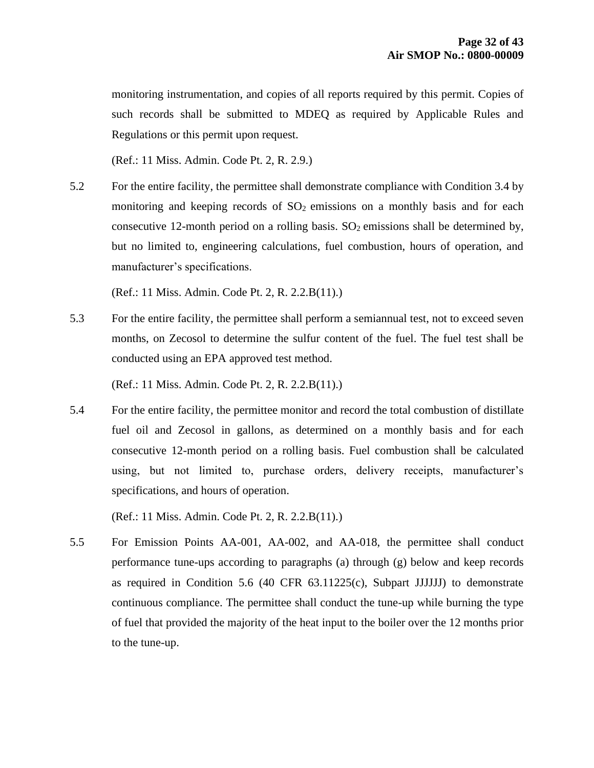monitoring instrumentation, and copies of all reports required by this permit. Copies of such records shall be submitted to MDEQ as required by Applicable Rules and Regulations or this permit upon request.

(Ref.: 11 Miss. Admin. Code Pt. 2, R. 2.9.)

5.2 For the entire facility, the permittee shall demonstrate compliance with Condition 3.4 by monitoring and keeping records of  $SO<sub>2</sub>$  emissions on a monthly basis and for each consecutive 12-month period on a rolling basis.  $SO_2$  emissions shall be determined by, but no limited to, engineering calculations, fuel combustion, hours of operation, and manufacturer's specifications.

(Ref.: 11 Miss. Admin. Code Pt. 2, R. 2.2.B(11).)

5.3 For the entire facility, the permittee shall perform a semiannual test, not to exceed seven months, on Zecosol to determine the sulfur content of the fuel. The fuel test shall be conducted using an EPA approved test method.

(Ref.: 11 Miss. Admin. Code Pt. 2, R. 2.2.B(11).)

5.4 For the entire facility, the permittee monitor and record the total combustion of distillate fuel oil and Zecosol in gallons, as determined on a monthly basis and for each consecutive 12-month period on a rolling basis. Fuel combustion shall be calculated using, but not limited to, purchase orders, delivery receipts, manufacturer's specifications, and hours of operation.

(Ref.: 11 Miss. Admin. Code Pt. 2, R. 2.2.B(11).)

5.5 For Emission Points AA-001, AA-002, and AA-018, the permittee shall conduct performance tune-ups according to paragraphs (a) through (g) below and keep records as required in Condition 5.6 (40 CFR 63.11225(c), Subpart JJJJJJ) to demonstrate continuous compliance. The permittee shall conduct the tune-up while burning the type of fuel that provided the majority of the heat input to the boiler over the 12 months prior to the tune-up.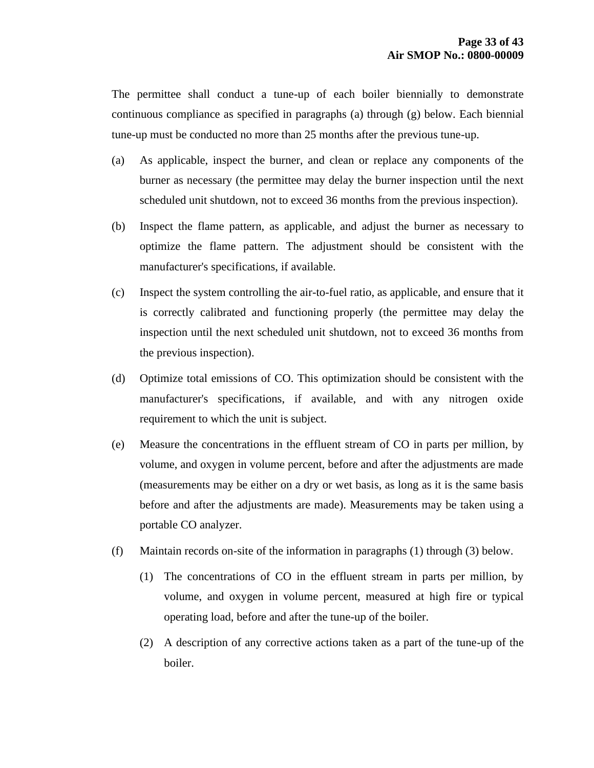The permittee shall conduct a tune-up of each boiler biennially to demonstrate continuous compliance as specified in paragraphs (a) through (g) below. Each biennial tune-up must be conducted no more than 25 months after the previous tune-up.

- (a) As applicable, inspect the burner, and clean or replace any components of the burner as necessary (the permittee may delay the burner inspection until the next scheduled unit shutdown, not to exceed 36 months from the previous inspection).
- (b) Inspect the flame pattern, as applicable, and adjust the burner as necessary to optimize the flame pattern. The adjustment should be consistent with the manufacturer's specifications, if available.
- (c) Inspect the system controlling the air-to-fuel ratio, as applicable, and ensure that it is correctly calibrated and functioning properly (the permittee may delay the inspection until the next scheduled unit shutdown, not to exceed 36 months from the previous inspection).
- (d) Optimize total emissions of CO. This optimization should be consistent with the manufacturer's specifications, if available, and with any nitrogen oxide requirement to which the unit is subject.
- (e) Measure the concentrations in the effluent stream of CO in parts per million, by volume, and oxygen in volume percent, before and after the adjustments are made (measurements may be either on a dry or wet basis, as long as it is the same basis before and after the adjustments are made). Measurements may be taken using a portable CO analyzer.
- (f) Maintain records on-site of the information in paragraphs (1) through (3) below.
	- (1) The concentrations of CO in the effluent stream in parts per million, by volume, and oxygen in volume percent, measured at high fire or typical operating load, before and after the tune-up of the boiler.
	- (2) A description of any corrective actions taken as a part of the tune-up of the boiler.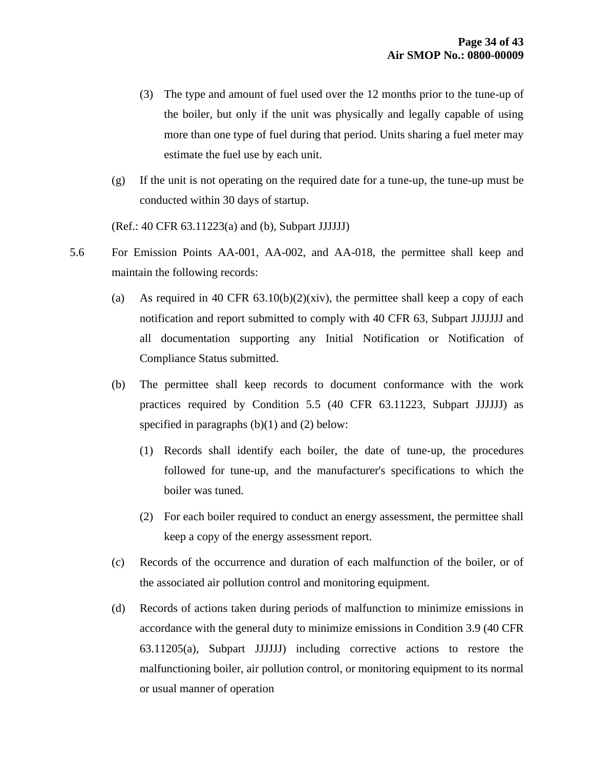- (3) The type and amount of fuel used over the 12 months prior to the tune-up of the boiler, but only if the unit was physically and legally capable of using more than one type of fuel during that period. Units sharing a fuel meter may estimate the fuel use by each unit.
- (g) If the unit is not operating on the required date for a tune-up, the tune-up must be conducted within 30 days of startup.

(Ref.: 40 CFR 63.11223(a) and (b), Subpart JJJJJJ)

- 5.6 For Emission Points AA-001, AA-002, and AA-018, the permittee shall keep and maintain the following records:
	- (a) As required in 40 CFR  $63.10(b)(2)(xiv)$ , the permittee shall keep a copy of each notification and report submitted to comply with 40 CFR 63, Subpart JJJJJJJ and all documentation supporting any Initial Notification or Notification of Compliance Status submitted.
	- (b) The permittee shall keep records to document conformance with the work practices required by Condition 5.5 (40 CFR 63.11223, Subpart JJJJJJ) as specified in paragraphs  $(b)(1)$  and  $(2)$  below:
		- (1) Records shall identify each boiler, the date of tune-up, the procedures followed for tune-up, and the manufacturer's specifications to which the boiler was tuned.
		- (2) For each boiler required to conduct an energy assessment, the permittee shall keep a copy of the energy assessment report.
	- (c) Records of the occurrence and duration of each malfunction of the boiler, or of the associated air pollution control and monitoring equipment.
	- (d) Records of actions taken during periods of malfunction to minimize emissions in accordance with the general duty to minimize emissions in Condition 3.9 (40 CFR 63.11205(a), Subpart JJJJJJ) including corrective actions to restore the malfunctioning boiler, air pollution control, or monitoring equipment to its normal or usual manner of operation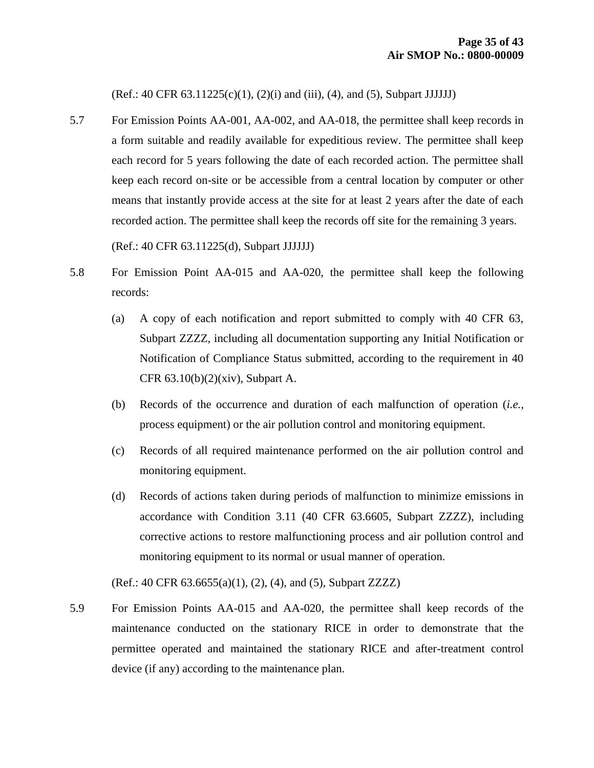(Ref.: 40 CFR 63.11225(c)(1), (2)(i) and (iii), (4), and (5), Subpart JJJJJJ)

5.7 For Emission Points AA-001, AA-002, and AA-018, the permittee shall keep records in a form suitable and readily available for expeditious review. The permittee shall keep each record for 5 years following the date of each recorded action. The permittee shall keep each record on-site or be accessible from a central location by computer or other means that instantly provide access at the site for at least 2 years after the date of each recorded action. The permittee shall keep the records off site for the remaining 3 years.

(Ref.: 40 CFR 63.11225(d), Subpart JJJJJJ)

- 5.8 For Emission Point AA-015 and AA-020, the permittee shall keep the following records:
	- (a) A copy of each notification and report submitted to comply with 40 CFR 63, Subpart ZZZZ, including all documentation supporting any Initial Notification or Notification of Compliance Status submitted, according to the requirement in 40 CFR 63.10(b)(2)(xiv), Subpart A.
	- (b) Records of the occurrence and duration of each malfunction of operation (*i.e.,* process equipment) or the air pollution control and monitoring equipment.
	- (c) Records of all required maintenance performed on the air pollution control and monitoring equipment.
	- (d) Records of actions taken during periods of malfunction to minimize emissions in accordance with Condition 3.11 (40 CFR 63.6605, Subpart ZZZZ), including corrective actions to restore malfunctioning process and air pollution control and monitoring equipment to its normal or usual manner of operation.

(Ref.: 40 CFR 63.6655(a)(1), (2), (4), and (5), Subpart ZZZZ)

5.9 For Emission Points AA-015 and AA-020, the permittee shall keep records of the maintenance conducted on the stationary RICE in order to demonstrate that the permittee operated and maintained the stationary RICE and after-treatment control device (if any) according to the maintenance plan.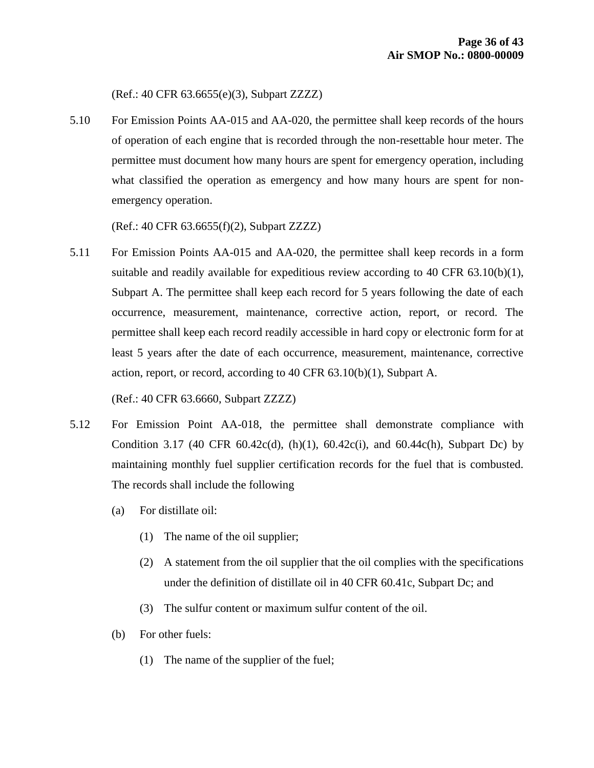(Ref.: 40 CFR 63.6655(e)(3), Subpart ZZZZ)

5.10 For Emission Points AA-015 and AA-020, the permittee shall keep records of the hours of operation of each engine that is recorded through the non-resettable hour meter. The permittee must document how many hours are spent for emergency operation, including what classified the operation as emergency and how many hours are spent for nonemergency operation.

(Ref.: 40 CFR 63.6655(f)(2), Subpart ZZZZ)

5.11 For Emission Points AA-015 and AA-020, the permittee shall keep records in a form suitable and readily available for expeditious review according to 40 CFR 63.10(b)(1), Subpart A. The permittee shall keep each record for 5 years following the date of each occurrence, measurement, maintenance, corrective action, report, or record. The permittee shall keep each record readily accessible in hard copy or electronic form for at least 5 years after the date of each occurrence, measurement, maintenance, corrective action, report, or record, according to 40 CFR 63.10(b)(1), Subpart A.

(Ref.: 40 CFR 63.6660, Subpart ZZZZ)

- 5.12 For Emission Point AA-018, the permittee shall demonstrate compliance with Condition 3.17 (40 CFR 60.42c(d), (h)(1), 60.42c(i), and 60.44c(h), Subpart Dc) by maintaining monthly fuel supplier certification records for the fuel that is combusted. The records shall include the following
	- (a) For distillate oil:
		- (1) The name of the oil supplier;
		- (2) A statement from the oil supplier that the oil complies with the specifications under the definition of distillate oil in 40 CFR 60.41c, Subpart Dc; and
		- (3) The sulfur content or maximum sulfur content of the oil.
	- (b) For other fuels:
		- (1) The name of the supplier of the fuel;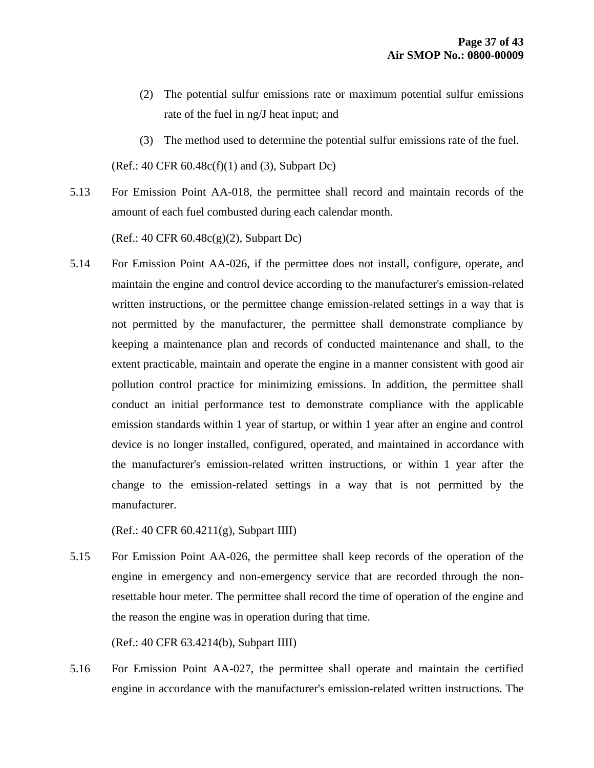- (2) The potential sulfur emissions rate or maximum potential sulfur emissions rate of the fuel in ng/J heat input; and
- (3) The method used to determine the potential sulfur emissions rate of the fuel.

 $(Ref.: 40 CFR 60.48c(f)(1)$  and  $(3)$ , Subpart Dc)

5.13 For Emission Point AA-018, the permittee shall record and maintain records of the amount of each fuel combusted during each calendar month.

(Ref.: 40 CFR 60.48c(g)(2), Subpart Dc)

5.14 For Emission Point AA-026, if the permittee does not install, configure, operate, and maintain the engine and control device according to the manufacturer's emission-related written instructions, or the permittee change emission-related settings in a way that is not permitted by the manufacturer, the permittee shall demonstrate compliance by keeping a maintenance plan and records of conducted maintenance and shall, to the extent practicable, maintain and operate the engine in a manner consistent with good air pollution control practice for minimizing emissions. In addition, the permittee shall conduct an initial performance test to demonstrate compliance with the applicable emission standards within 1 year of startup, or within 1 year after an engine and control device is no longer installed, configured, operated, and maintained in accordance with the manufacturer's emission-related written instructions, or within 1 year after the change to the emission-related settings in a way that is not permitted by the manufacturer.

(Ref.: 40 CFR 60.4211(g), Subpart IIII)

5.15 For Emission Point AA-026, the permittee shall keep records of the operation of the engine in emergency and non-emergency service that are recorded through the nonresettable hour meter. The permittee shall record the time of operation of the engine and the reason the engine was in operation during that time.

(Ref.: 40 CFR 63.4214(b), Subpart IIII)

5.16 For Emission Point AA-027, the permittee shall operate and maintain the certified engine in accordance with the manufacturer's emission-related written instructions. The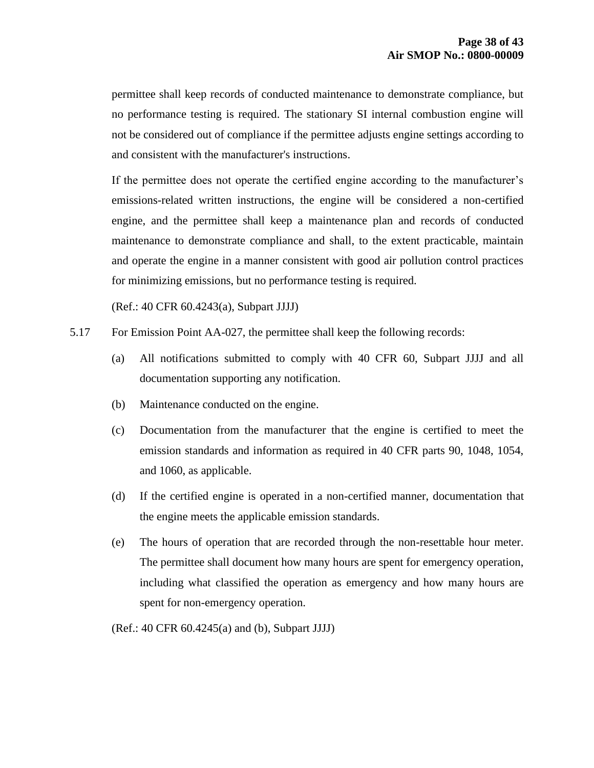permittee shall keep records of conducted maintenance to demonstrate compliance, but no performance testing is required. The stationary SI internal combustion engine will not be considered out of compliance if the permittee adjusts engine settings according to and consistent with the manufacturer's instructions.

If the permittee does not operate the certified engine according to the manufacturer's emissions-related written instructions, the engine will be considered a non-certified engine, and the permittee shall keep a maintenance plan and records of conducted maintenance to demonstrate compliance and shall, to the extent practicable, maintain and operate the engine in a manner consistent with good air pollution control practices for minimizing emissions, but no performance testing is required.

(Ref.: 40 CFR 60.4243(a), Subpart JJJJ)

- 5.17 For Emission Point AA-027, the permittee shall keep the following records:
	- (a) All notifications submitted to comply with 40 CFR 60, Subpart JJJJ and all documentation supporting any notification.
	- (b) Maintenance conducted on the engine.
	- (c) Documentation from the manufacturer that the engine is certified to meet the emission standards and information as required in 40 CFR parts 90, 1048, 1054, and 1060, as applicable.
	- (d) If the certified engine is operated in a non-certified manner, documentation that the engine meets the applicable emission standards.
	- (e) The hours of operation that are recorded through the non-resettable hour meter. The permittee shall document how many hours are spent for emergency operation, including what classified the operation as emergency and how many hours are spent for non-emergency operation.

(Ref.: 40 CFR 60.4245(a) and (b), Subpart JJJJ)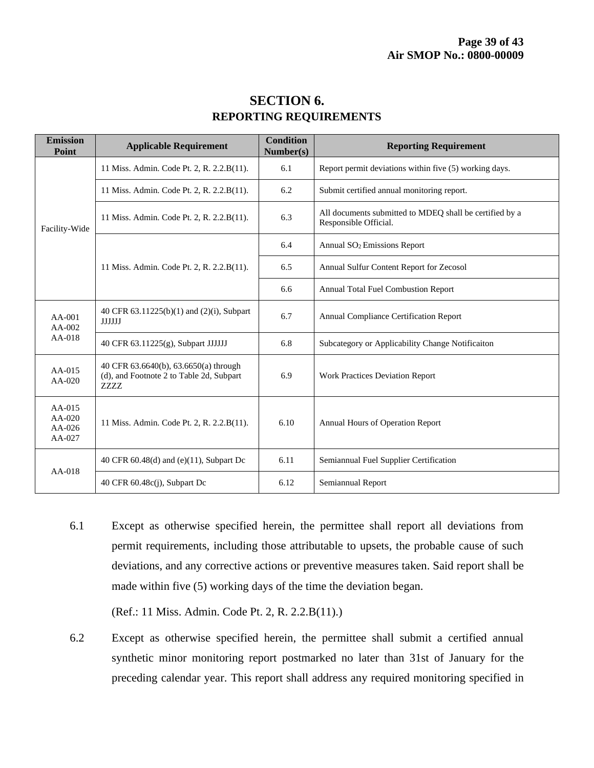| <b>Emission</b><br>Point                   | <b>Applicable Requirement</b>                                                             | <b>Condition</b><br>Number(s) | <b>Reporting Requirement</b>                                                     |  |
|--------------------------------------------|-------------------------------------------------------------------------------------------|-------------------------------|----------------------------------------------------------------------------------|--|
| Facility-Wide                              | 11 Miss. Admin. Code Pt. 2, R. 2.2.B(11).                                                 | 6.1                           | Report permit deviations within five (5) working days.                           |  |
|                                            | 11 Miss. Admin. Code Pt. 2, R. 2.2.B(11).                                                 | 6.2                           | Submit certified annual monitoring report.                                       |  |
|                                            | 11 Miss. Admin. Code Pt. 2, R. 2.2.B(11).                                                 | 6.3                           | All documents submitted to MDEQ shall be certified by a<br>Responsible Official. |  |
|                                            | 11 Miss. Admin. Code Pt. 2, R. 2.2.B(11).                                                 | 6.4                           | Annual SO <sub>2</sub> Emissions Report                                          |  |
|                                            |                                                                                           | 6.5                           | Annual Sulfur Content Report for Zecosol                                         |  |
|                                            |                                                                                           | 6.6                           | Annual Total Fuel Combustion Report                                              |  |
| $AA-001$<br>AA-002<br>AA-018               | 40 CFR 63.11225(b)(1) and (2)(i), Subpart<br><b>JJJJJJ</b>                                | 6.7                           | Annual Compliance Certification Report                                           |  |
|                                            | 40 CFR 63.11225(g), Subpart JJJJJJ                                                        | 6.8                           | Subcategory or Applicability Change Notificaiton                                 |  |
| $AA-015$<br>$AA-020$                       | 40 CFR 63.6640(b), 63.6650(a) through<br>(d), and Footnote 2 to Table 2d, Subpart<br>ZZZZ | 6.9                           | <b>Work Practices Deviation Report</b>                                           |  |
| AA-015<br>$AA-020$<br>$AA-026$<br>$AA-027$ | 11 Miss. Admin. Code Pt. 2, R. 2.2.B(11).                                                 | 6.10                          | Annual Hours of Operation Report                                                 |  |
| AA-018                                     | 40 CFR $60.48(d)$ and $(e)(11)$ , Subpart Dc                                              | 6.11                          | Semiannual Fuel Supplier Certification                                           |  |
|                                            | 40 CFR $60.48c(i)$ , Subpart Dc                                                           | 6.12                          | Semiannual Report                                                                |  |

### **SECTION 6. REPORTING REQUIREMENTS**

6.1 Except as otherwise specified herein, the permittee shall report all deviations from permit requirements, including those attributable to upsets, the probable cause of such deviations, and any corrective actions or preventive measures taken. Said report shall be made within five (5) working days of the time the deviation began.

(Ref.: 11 Miss. Admin. Code Pt. 2, R. 2.2.B(11).)

6.2 Except as otherwise specified herein, the permittee shall submit a certified annual synthetic minor monitoring report postmarked no later than 31st of January for the preceding calendar year. This report shall address any required monitoring specified in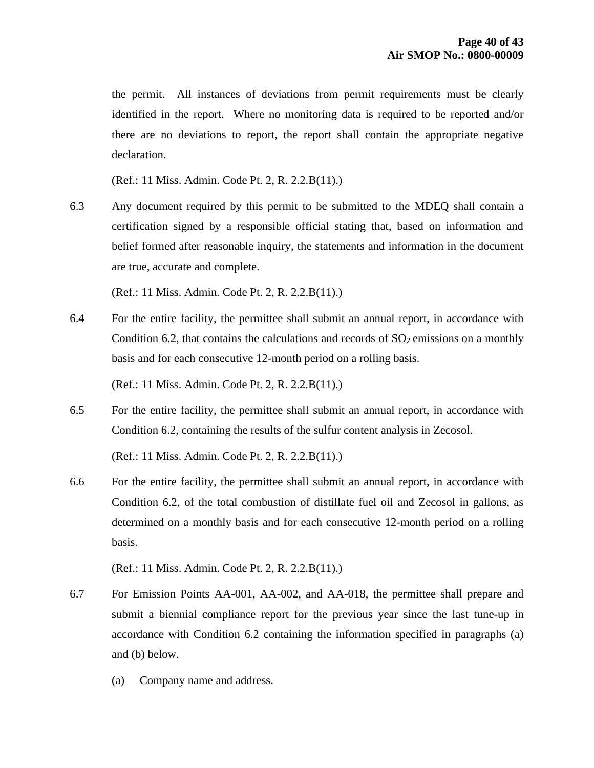the permit. All instances of deviations from permit requirements must be clearly identified in the report. Where no monitoring data is required to be reported and/or there are no deviations to report, the report shall contain the appropriate negative declaration.

(Ref.: 11 Miss. Admin. Code Pt. 2, R. 2.2.B(11).)

6.3 Any document required by this permit to be submitted to the MDEQ shall contain a certification signed by a responsible official stating that, based on information and belief formed after reasonable inquiry, the statements and information in the document are true, accurate and complete.

(Ref.: 11 Miss. Admin. Code Pt. 2, R. 2.2.B(11).)

6.4 For the entire facility, the permittee shall submit an annual report, in accordance with Condition 6.2, that contains the calculations and records of  $SO<sub>2</sub>$  emissions on a monthly basis and for each consecutive 12-month period on a rolling basis.

(Ref.: 11 Miss. Admin. Code Pt. 2, R. 2.2.B(11).)

6.5 For the entire facility, the permittee shall submit an annual report, in accordance with Condition 6.2, containing the results of the sulfur content analysis in Zecosol.

(Ref.: 11 Miss. Admin. Code Pt. 2, R. 2.2.B(11).)

6.6 For the entire facility, the permittee shall submit an annual report, in accordance with Condition 6.2, of the total combustion of distillate fuel oil and Zecosol in gallons, as determined on a monthly basis and for each consecutive 12-month period on a rolling basis.

(Ref.: 11 Miss. Admin. Code Pt. 2, R. 2.2.B(11).)

- 6.7 For Emission Points AA-001, AA-002, and AA-018, the permittee shall prepare and submit a biennial compliance report for the previous year since the last tune-up in accordance with Condition 6.2 containing the information specified in paragraphs (a) and (b) below.
	- (a) Company name and address.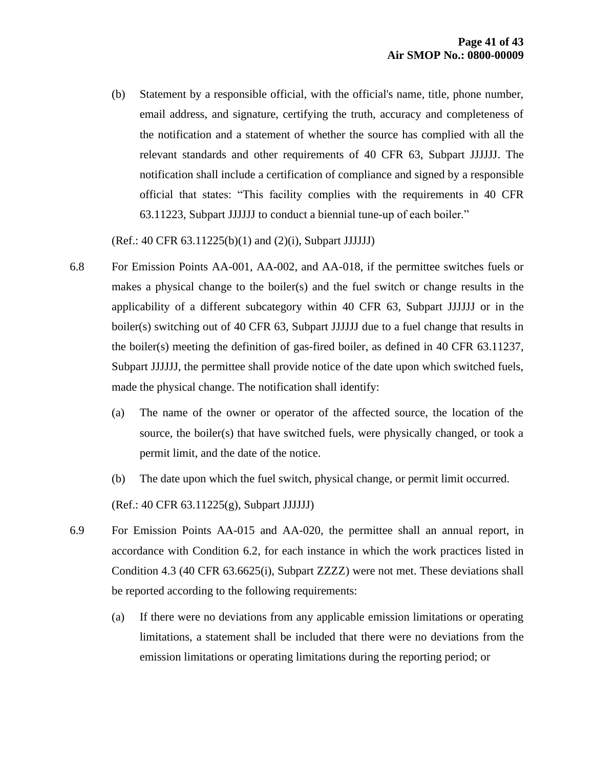(b) Statement by a responsible official, with the official's name, title, phone number, email address, and signature, certifying the truth, accuracy and completeness of the notification and a statement of whether the source has complied with all the relevant standards and other requirements of 40 CFR 63, Subpart JJJJJJ. The notification shall include a certification of compliance and signed by a responsible official that states: "This facility complies with the requirements in 40 CFR 63.11223, Subpart JJJJJJ to conduct a biennial tune-up of each boiler."

(Ref.: 40 CFR 63.11225(b)(1) and (2)(i), Subpart JJJJJJ)

- 6.8 For Emission Points AA-001, AA-002, and AA-018, if the permittee switches fuels or makes a physical change to the boiler(s) and the fuel switch or change results in the applicability of a different subcategory within 40 CFR 63, Subpart JJJJJJ or in the boiler(s) switching out of 40 CFR 63, Subpart JJJJJJ due to a fuel change that results in the boiler(s) meeting the definition of gas-fired boiler, as defined in 40 CFR 63.11237, Subpart JJJJJJ, the permittee shall provide notice of the date upon which switched fuels, made the physical change. The notification shall identify:
	- (a) The name of the owner or operator of the affected source, the location of the source, the boiler(s) that have switched fuels, were physically changed, or took a permit limit, and the date of the notice.
	- (b) The date upon which the fuel switch, physical change, or permit limit occurred. (Ref.: 40 CFR 63.11225(g), Subpart JJJJJJ)
- 6.9 For Emission Points AA-015 and AA-020, the permittee shall an annual report, in accordance with Condition 6.2, for each instance in which the work practices listed in Condition 4.3 (40 CFR 63.6625(i), Subpart ZZZZ) were not met. These deviations shall be reported according to the following requirements:
	- (a) If there were no deviations from any applicable emission limitations or operating limitations, a statement shall be included that there were no deviations from the emission limitations or operating limitations during the reporting period; or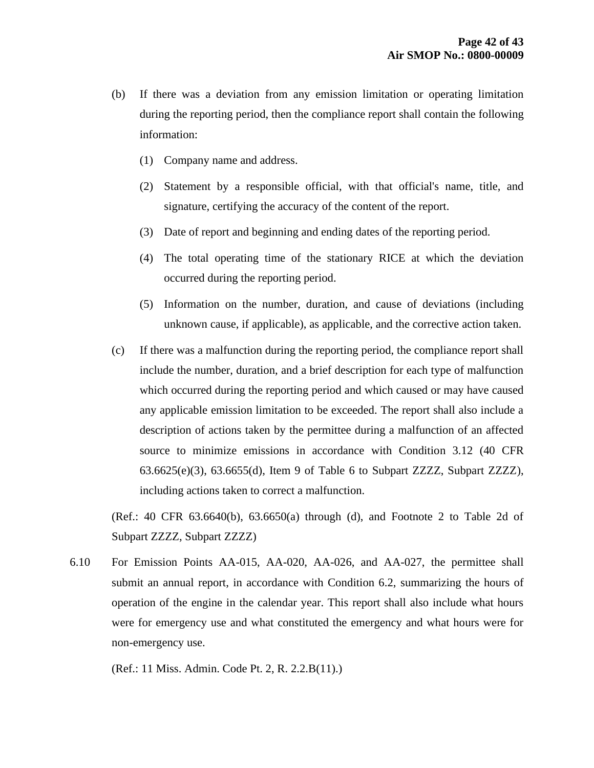- (b) If there was a deviation from any emission limitation or operating limitation during the reporting period, then the compliance report shall contain the following information:
	- (1) Company name and address.
	- (2) Statement by a responsible official, with that official's name, title, and signature, certifying the accuracy of the content of the report.
	- (3) Date of report and beginning and ending dates of the reporting period.
	- (4) The total operating time of the stationary RICE at which the deviation occurred during the reporting period.
	- (5) Information on the number, duration, and cause of deviations (including unknown cause, if applicable), as applicable, and the corrective action taken.
- (c) If there was a malfunction during the reporting period, the compliance report shall include the number, duration, and a brief description for each type of malfunction which occurred during the reporting period and which caused or may have caused any applicable emission limitation to be exceeded. The report shall also include a description of actions taken by the permittee during a malfunction of an affected source to minimize emissions in accordance with Condition 3.12 (40 CFR 63.6625(e)(3), 63.6655(d), Item 9 of Table 6 to Subpart ZZZZ, Subpart ZZZZ), including actions taken to correct a malfunction.

(Ref.: 40 CFR 63.6640(b), 63.6650(a) through (d), and Footnote 2 to Table 2d of Subpart ZZZZ, Subpart ZZZZ)

6.10 For Emission Points AA-015, AA-020, AA-026, and AA-027, the permittee shall submit an annual report, in accordance with Condition 6.2, summarizing the hours of operation of the engine in the calendar year. This report shall also include what hours were for emergency use and what constituted the emergency and what hours were for non-emergency use.

(Ref.: 11 Miss. Admin. Code Pt. 2, R. 2.2.B(11).)